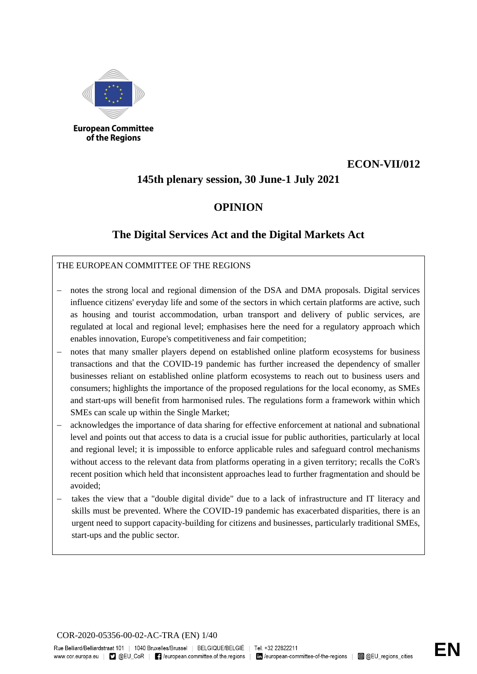

**European Committee** of the Regions

### **ECON-VII/012**

### **145th plenary session, 30 June-1 July 2021**

### **OPINION**

### **The Digital Services Act and the Digital Markets Act**

### THE EUROPEAN COMMITTEE OF THE REGIONS

- notes the strong local and regional dimension of the DSA and DMA proposals. Digital services influence citizens' everyday life and some of the sectors in which certain platforms are active, such as housing and tourist accommodation, urban transport and delivery of public services, are regulated at local and regional level; emphasises here the need for a regulatory approach which enables innovation, Europe's competitiveness and fair competition;
- notes that many smaller players depend on established online platform ecosystems for business transactions and that the COVID-19 pandemic has further increased the dependency of smaller businesses reliant on established online platform ecosystems to reach out to business users and consumers; highlights the importance of the proposed regulations for the local economy, as SMEs and start-ups will benefit from harmonised rules. The regulations form a framework within which SMEs can scale up within the Single Market;
- acknowledges the importance of data sharing for effective enforcement at national and subnational level and points out that access to data is a crucial issue for public authorities, particularly at local and regional level; it is impossible to enforce applicable rules and safeguard control mechanisms without access to the relevant data from platforms operating in a given territory; recalls the CoR's recent position which held that inconsistent approaches lead to further fragmentation and should be avoided;
- takes the view that a "double digital divide" due to a lack of infrastructure and IT literacy and skills must be prevented. Where the COVID-19 pandemic has exacerbated disparities, there is an urgent need to support capacity-building for citizens and businesses, particularly traditional SMEs, start-ups and the public sector.

COR-2020-05356-00-02-AC-TRA (EN) 1/40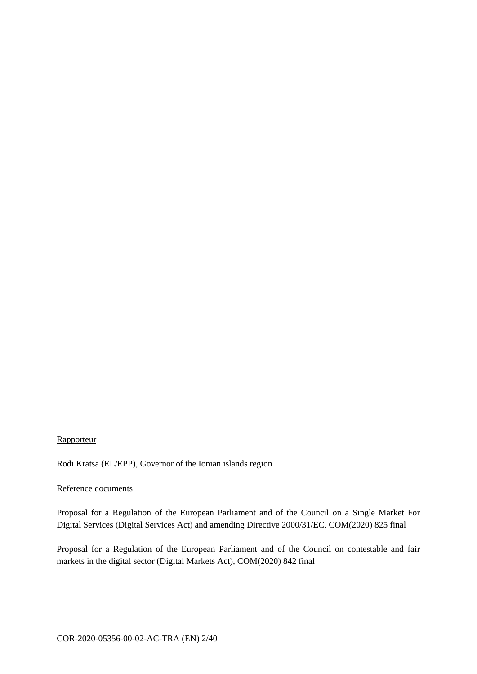#### **Rapporteur**

Rodi Kratsa (EL/EPP), Governor of the Ionian islands region

#### Reference documents

Proposal for a Regulation of the European Parliament and of the Council on a Single Market For Digital Services (Digital Services Act) and amending Directive 2000/31/EC, COM(2020) 825 final

Proposal for a Regulation of the European Parliament and of the Council on contestable and fair markets in the digital sector (Digital Markets Act), COM(2020) 842 final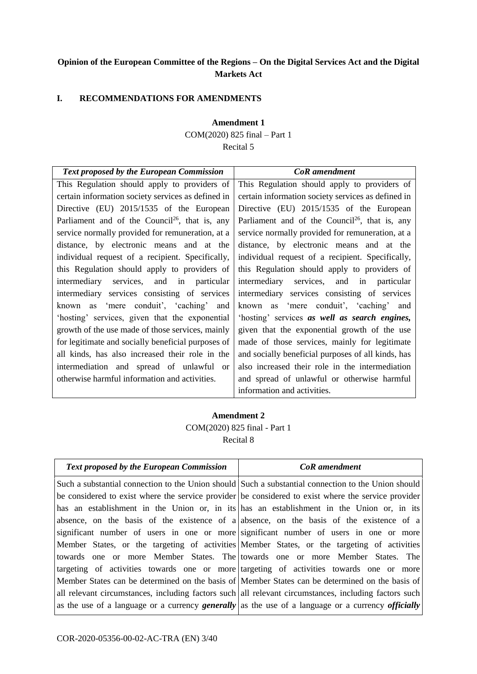### **Opinion of the European Committee of the Regions – On the Digital Services Act and the Digital Markets Act**

#### **I. RECOMMENDATIONS FOR AMENDMENTS**

#### **Amendment 1**

COM(2020) 825 final – Part 1

#### Recital 5

| <b>Text proposed by the European Commission</b>            | <b>CoR</b> amendment                                       |
|------------------------------------------------------------|------------------------------------------------------------|
| This Regulation should apply to providers of               | This Regulation should apply to providers of               |
| certain information society services as defined in         | certain information society services as defined in         |
| Directive (EU) 2015/1535 of the European                   | Directive (EU) 2015/1535 of the European                   |
| Parliament and of the Council <sup>26</sup> , that is, any | Parliament and of the Council <sup>26</sup> , that is, any |
| service normally provided for remuneration, at a           | service normally provided for remuneration, at a           |
| distance, by electronic means and at the                   | distance, by electronic means and at the                   |
| individual request of a recipient. Specifically,           | individual request of a recipient. Specifically,           |
| this Regulation should apply to providers of               | this Regulation should apply to providers of               |
| intermediary services, and in particular                   | intermediary services, and in particular                   |
| intermediary services consisting of services               | intermediary services consisting of services               |
| known as 'mere conduit', 'caching' and                     | known as 'mere conduit', 'caching' and                     |
| 'hosting' services, given that the exponential             | 'hosting' services as well as search engines,              |
| growth of the use made of those services, mainly           | given that the exponential growth of the use               |
| for legitimate and socially beneficial purposes of         | made of those services, mainly for legitimate              |
| all kinds, has also increased their role in the            | and socially beneficial purposes of all kinds, has         |
| intermediation and spread of unlawful or                   | also increased their role in the intermediation            |
| otherwise harmful information and activities.              | and spread of unlawful or otherwise harmful                |
|                                                            | information and activities.                                |

### **Amendment 2** COM(2020) 825 final - Part 1 Recital 8

| <b>Text proposed by the European Commission</b> | <b>CoR</b> amendment                                                                                  |
|-------------------------------------------------|-------------------------------------------------------------------------------------------------------|
|                                                 | Such a substantial connection to the Union should Such a substantial connection to the Union should   |
|                                                 | be considered to exist where the service provider be considered to exist where the service provider   |
|                                                 | has an establishment in the Union or, in its has an establishment in the Union or, in its             |
|                                                 | absence, on the basis of the existence of a absence, on the basis of the existence of a               |
|                                                 | significant number of users in one or more significant number of users in one or more                 |
|                                                 | Member States, or the targeting of activities Member States, or the targeting of activities           |
|                                                 | towards one or more Member States. The towards one or more Member States. The                         |
|                                                 | targeting of activities towards one or more targeting of activities towards one or more               |
|                                                 | Member States can be determined on the basis of Member States can be determined on the basis of       |
|                                                 | all relevant circumstances, including factors such all relevant circumstances, including factors such |
|                                                 | as the use of a language or a currency generally as the use of a language or a currency officially    |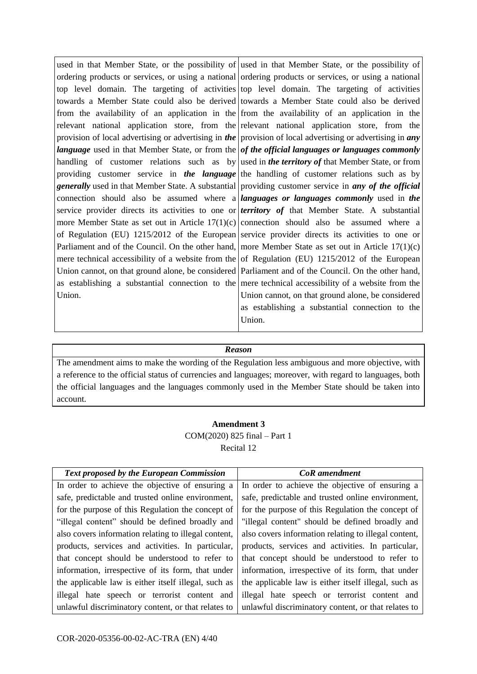used in that Member State, or the possibility of ordering products or services, or using a national top level domain. The targeting of activities towards a Member State could also be derived from the availability of an application in the relevant national application store, from the provision of local advertising or advertising in *the language* used in that Member State, or from the handling of customer relations such as by providing customer service in *the language generally* used in that Member State. A substantial connection should also be assumed where a service provider directs its activities to one or more Member State as set out in Article 17(1)(c) of Regulation (EU) 1215/2012 of the European Parliament and of the Council. On the other hand, mere technical accessibility of a website from the Union cannot, on that ground alone, be considered as establishing a substantial connection to the Union. used in that Member State, or the possibility of ordering products or services, or using a national top level domain. The targeting of activities towards a Member State could also be derived from the availability of an application in the relevant national application store, from the provision of local advertising or advertising in *any of the official languages or languages commonly*  used in *the territory of* that Member State, or from the handling of customer relations such as by providing customer service in *any of the official languages or languages commonly* used in *the territory of* that Member State. A substantial connection should also be assumed where a service provider directs its activities to one or more Member State as set out in Article 17(1)(c) of Regulation (EU) 1215/2012 of the European Parliament and of the Council. On the other hand, mere technical accessibility of a website from the Union cannot, on that ground alone, be considered as establishing a substantial connection to the

#### *Reason*

Union.

The amendment aims to make the wording of the Regulation less ambiguous and more objective, with a reference to the official status of currencies and languages; moreover, with regard to languages, both the official languages and the languages commonly used in the Member State should be taken into account.

#### **Amendment 3** COM(2020) 825 final – Part 1 Recital 12

| Text proposed by the European Commission             | <b>CoR</b> amendment                                 |
|------------------------------------------------------|------------------------------------------------------|
| In order to achieve the objective of ensuring a      | In order to achieve the objective of ensuring a      |
| safe, predictable and trusted online environment,    | safe, predictable and trusted online environment,    |
| for the purpose of this Regulation the concept of    | for the purpose of this Regulation the concept of    |
| "illegal content" should be defined broadly and      | "illegal content" should be defined broadly and      |
| also covers information relating to illegal content, | also covers information relating to illegal content, |
| products, services and activities. In particular,    | products, services and activities. In particular,    |
| that concept should be understood to refer to        | that concept should be understood to refer to        |
| information, irrespective of its form, that under    | information, irrespective of its form, that under    |
| the applicable law is either itself illegal, such as | the applicable law is either itself illegal, such as |
| illegal hate speech or terrorist content and         | illegal hate speech or terrorist content and         |
| unlawful discriminatory content, or that relates to  | unlawful discriminatory content, or that relates to  |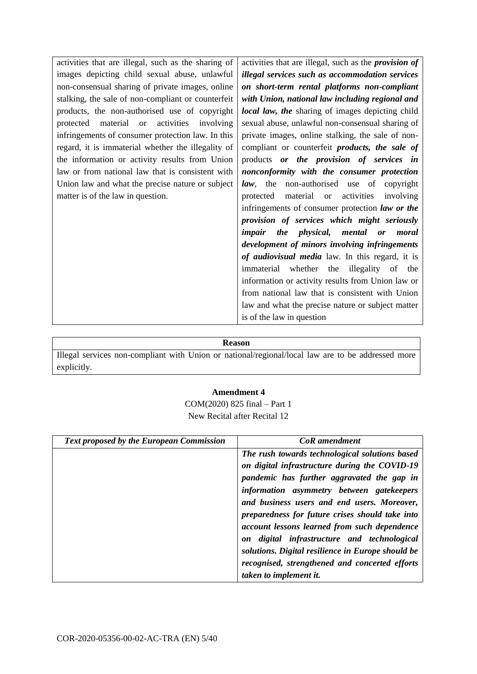activities that are illegal, such as the sharing of images depicting child sexual abuse, unlawful non-consensual sharing of private images, online stalking, the sale of non-compliant or counterfeit products, the non-authorised use of copyright protected material or activities involving infringements of consumer protection law. In this regard, it is immaterial whether the illegality of the information or activity results from Union law or from national law that is consistent with Union law and what the precise nature or subject matter is of the law in question.

activities that are illegal, such as the *provision of illegal services such as accommodation services on short-term rental platforms non-compliant with Union, national law including regional and local law, the* sharing of images depicting child sexual abuse, unlawful non-consensual sharing of private images, online stalking, the sale of noncompliant or counterfeit *products, the sale of* products *or the provision of services in nonconformity with the consumer protection law*, the non-authorised use of copyright protected material or activities involving infringements of consumer protection *law or the provision of services which might seriously impair the physical, mental or moral development of minors involving infringements of audiovisual media* law. In this regard, it is immaterial whether the illegality of the information or activity results from Union law or from national law that is consistent with Union law and what the precise nature or subject matter is of the law in question

#### **Reason**

Illegal services non-compliant with Union or national/regional/local law are to be addressed more explicitly.

#### **Amendment 4**

COM(2020) 825 final – Part 1 New Recital after Recital 12

| <b>Text proposed by the European Commission</b> | <b>CoR</b> amendment                              |
|-------------------------------------------------|---------------------------------------------------|
|                                                 | The rush towards technological solutions based    |
|                                                 | on digital infrastructure during the COVID-19     |
|                                                 | pandemic has further aggravated the gap in        |
|                                                 | information asymmetry between gatekeepers         |
|                                                 | and business users and end users. Moreover,       |
|                                                 | preparedness for future crises should take into   |
|                                                 | account lessons learned from such dependence      |
|                                                 | on digital infrastructure and technological       |
|                                                 | solutions. Digital resilience in Europe should be |
|                                                 | recognised, strengthened and concerted efforts    |
|                                                 | taken to implement it.                            |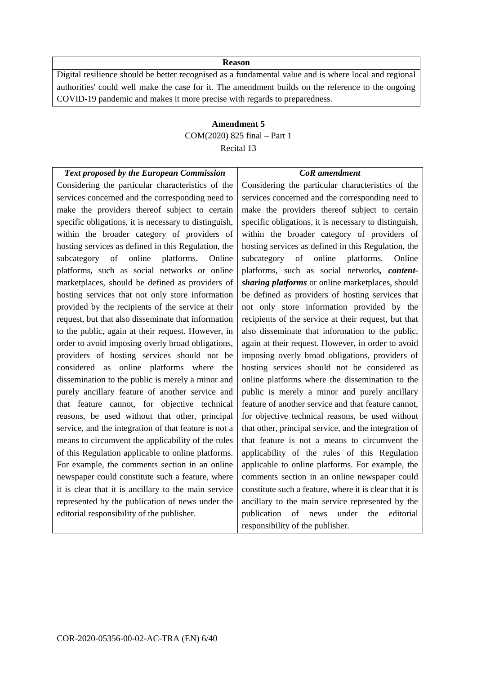Digital resilience should be better recognised as a fundamental value and is where local and regional authorities' could well make the case for it. The amendment builds on the reference to the ongoing COVID-19 pandemic and makes it more precise with regards to preparedness.

### **Amendment 5** COM(2020) 825 final – Part 1 Recital 13

| <b>Text proposed by the European Commission</b>       | <b>CoR</b> amendment                                    |
|-------------------------------------------------------|---------------------------------------------------------|
| Considering the particular characteristics of the     | Considering the particular characteristics of the       |
| services concerned and the corresponding need to      | services concerned and the corresponding need to        |
| make the providers thereof subject to certain         | make the providers thereof subject to certain           |
| specific obligations, it is necessary to distinguish, | specific obligations, it is necessary to distinguish,   |
| within the broader category of providers of           | within the broader category of providers of             |
| hosting services as defined in this Regulation, the   | hosting services as defined in this Regulation, the     |
| subcategory of online platforms.<br>Online            | subcategory of online<br>platforms.<br>Online           |
| platforms, such as social networks or online          | platforms, such as social networks, content-            |
| marketplaces, should be defined as providers of       | sharing platforms or online marketplaces, should        |
| hosting services that not only store information      | be defined as providers of hosting services that        |
| provided by the recipients of the service at their    | not only store information provided by the              |
| request, but that also disseminate that information   | recipients of the service at their request, but that    |
| to the public, again at their request. However, in    | also disseminate that information to the public,        |
| order to avoid imposing overly broad obligations,     | again at their request. However, in order to avoid      |
| providers of hosting services should not be           | imposing overly broad obligations, providers of         |
| considered as online platforms where the              | hosting services should not be considered as            |
| dissemination to the public is merely a minor and     | online platforms where the dissemination to the         |
| purely ancillary feature of another service and       | public is merely a minor and purely ancillary           |
| that feature cannot, for objective technical          | feature of another service and that feature cannot,     |
| reasons, be used without that other, principal        | for objective technical reasons, be used without        |
| service, and the integration of that feature is not a | that other, principal service, and the integration of   |
| means to circumvent the applicability of the rules    | that feature is not a means to circumvent the           |
| of this Regulation applicable to online platforms.    | applicability of the rules of this Regulation           |
| For example, the comments section in an online        | applicable to online platforms. For example, the        |
| newspaper could constitute such a feature, where      | comments section in an online newspaper could           |
| it is clear that it is ancillary to the main service  | constitute such a feature, where it is clear that it is |
| represented by the publication of news under the      | ancillary to the main service represented by the        |
| editorial responsibility of the publisher.            | publication of<br>under<br>editorial<br>the<br>news     |
|                                                       | responsibility of the publisher.                        |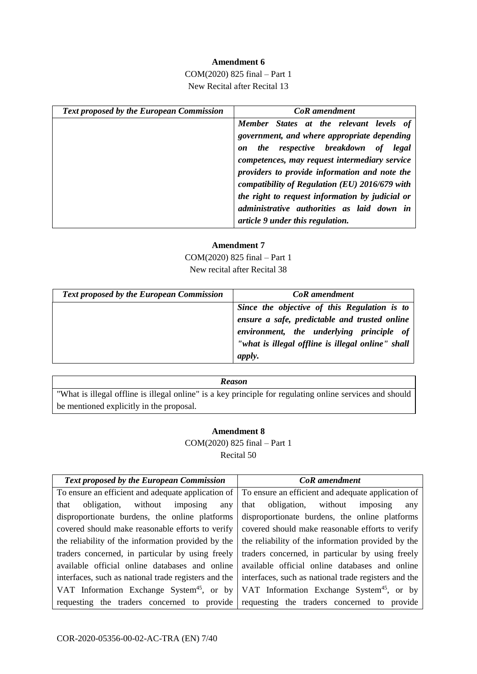#### **Amendment 6**

COM(2020) 825 final – Part 1 New Recital after Recital 13

| <b>Text proposed by the European Commission</b> | <b>CoR</b> amendment                            |
|-------------------------------------------------|-------------------------------------------------|
|                                                 | Member States at the relevant levels of         |
|                                                 | government, and where appropriate depending     |
|                                                 | the respective breakdown of<br>legal<br>on      |
|                                                 | competences, may request intermediary service   |
|                                                 | providers to provide information and note the   |
|                                                 | compatibility of Regulation (EU) 2016/679 with  |
|                                                 | the right to request information by judicial or |
|                                                 | administrative authorities as laid down in      |
|                                                 | article 9 under this regulation.                |

#### **Amendment 7**

COM(2020) 825 final – Part 1 New recital after Recital 38

| <b>Text proposed by the European Commission</b> | <b>CoR</b> amendment                                                                                                                                                                                            |
|-------------------------------------------------|-----------------------------------------------------------------------------------------------------------------------------------------------------------------------------------------------------------------|
|                                                 | Since the objective of this Regulation is to<br>ensure a safe, predictable and trusted online<br>environment, the underlying principle of<br>"what is illegal offline is illegal online" shall<br><i>apply.</i> |

#### *Reason*

"What is illegal offline is illegal online" is a key principle for regulating online services and should be mentioned explicitly in the proposal.

#### **Amendment 8**

COM(2020) 825 final – Part 1 Recital 50

| <b>Text proposed by the European Commission</b>                                                       | CoR amendment                                         |
|-------------------------------------------------------------------------------------------------------|-------------------------------------------------------|
| To ensure an efficient and adequate application of To ensure an efficient and adequate application of |                                                       |
| without imposing<br>obligation,<br>that<br>any                                                        | that obligation, without<br>imposing<br>any           |
| disproportionate burdens, the online platforms                                                        | disproportionate burdens, the online platforms        |
| covered should make reasonable efforts to verify                                                      | covered should make reasonable efforts to verify      |
| the reliability of the information provided by the                                                    | the reliability of the information provided by the    |
| traders concerned, in particular by using freely                                                      | traders concerned, in particular by using freely      |
| available official online databases and online                                                        | available official online databases and online        |
| interfaces, such as national trade registers and the                                                  | interfaces, such as national trade registers and the  |
| VAT Information Exchange System <sup>45</sup> , or by                                                 | VAT Information Exchange System <sup>45</sup> , or by |
| requesting the traders concerned to provide requesting the traders concerned to provide               |                                                       |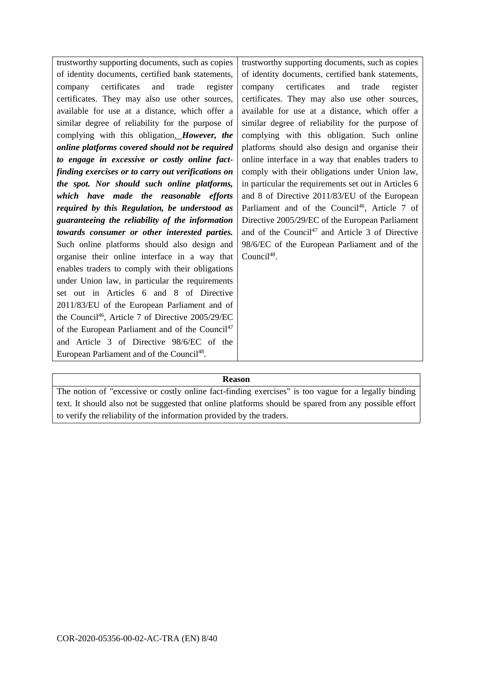trustworthy supporting documents, such as copies of identity documents, certified bank statements, company certificates and trade register certificates. They may also use other sources, available for use at a distance, which offer a similar degree of reliability for the purpose of complying with this obligation. *However, the online platforms covered should not be required to engage in excessive or costly online factfinding exercises or to carry out verifications on the spot. Nor should such online platforms, which have made the reasonable efforts required by this Regulation, be understood as guaranteeing the reliability of the information towards consumer or other interested parties.* Such online platforms should also design and organise their online interface in a way that enables traders to comply with their obligations under Union law, in particular the requirements set out in Articles 6 and 8 of Directive 2011/83/EU of the European Parliament and of the Council<sup>46</sup>, Article 7 of Directive 2005/29/EC of the European Parliament and of the Council<sup>47</sup> and Article 3 of Directive 98/6/EC of the European Parliament and of the Council<sup>48</sup>. Council<sup>48</sup>.

trustworthy supporting documents, such as copies of identity documents, certified bank statements, company certificates and trade register certificates. They may also use other sources, available for use at a distance, which offer a similar degree of reliability for the purpose of complying with this obligation. Such online platforms should also design and organise their online interface in a way that enables traders to comply with their obligations under Union law, in particular the requirements set out in Articles 6 and 8 of Directive 2011/83/EU of the European Parliament and of the Council<sup>46</sup>, Article 7 of Directive 2005/29/EC of the European Parliament and of the Council<sup>47</sup> and Article 3 of Directive 98/6/EC of the European Parliament and of the

#### **Reason**

The notion of "excessive or costly online fact-finding exercises" is too vague for a legally binding text. It should also not be suggested that online platforms should be spared from any possible effort to verify the reliability of the information provided by the traders.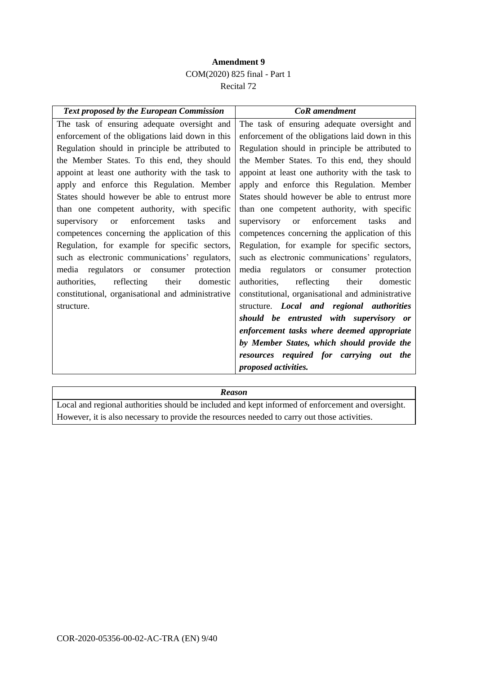### **Amendment 9** COM(2020) 825 final - Part 1 Recital 72

| <b>Text proposed by the European Commission</b>         | <b>CoR</b> amendment                                        |
|---------------------------------------------------------|-------------------------------------------------------------|
| The task of ensuring adequate oversight and             | The task of ensuring adequate oversight and                 |
| enforcement of the obligations laid down in this        | enforcement of the obligations laid down in this            |
| Regulation should in principle be attributed to         | Regulation should in principle be attributed to             |
| the Member States. To this end, they should             | the Member States. To this end, they should                 |
| appoint at least one authority with the task to         | appoint at least one authority with the task to             |
| apply and enforce this Regulation. Member               | apply and enforce this Regulation. Member                   |
| States should however be able to entrust more           | States should however be able to entrust more               |
| than one competent authority, with specific             | than one competent authority, with specific                 |
| enforcement<br>tasks<br>supervisory<br>and<br><b>or</b> | enforcement<br>supervisory<br>tasks<br><sub>or</sub><br>and |
| competences concerning the application of this          | competences concerning the application of this              |
| Regulation, for example for specific sectors,           | Regulation, for example for specific sectors,               |
| such as electronic communications' regulators,          | such as electronic communications' regulators,              |
| media regulators<br>protection<br>or consumer           | media regulators or consumer<br>protection                  |
| reflecting<br>their<br>authorities,<br>domestic         | reflecting<br>their<br>authorities,<br>domestic             |
| constitutional, organisational and administrative       | constitutional, organisational and administrative           |
| structure.                                              | structure. Local and regional authorities                   |
|                                                         | should be entrusted with supervisory or                     |
|                                                         | enforcement tasks where deemed appropriate                  |
|                                                         | by Member States, which should provide the                  |
|                                                         | resources required for carrying out the                     |
|                                                         | proposed activities.                                        |
|                                                         |                                                             |

*Reason*

Local and regional authorities should be included and kept informed of enforcement and oversight. However, it is also necessary to provide the resources needed to carry out those activities.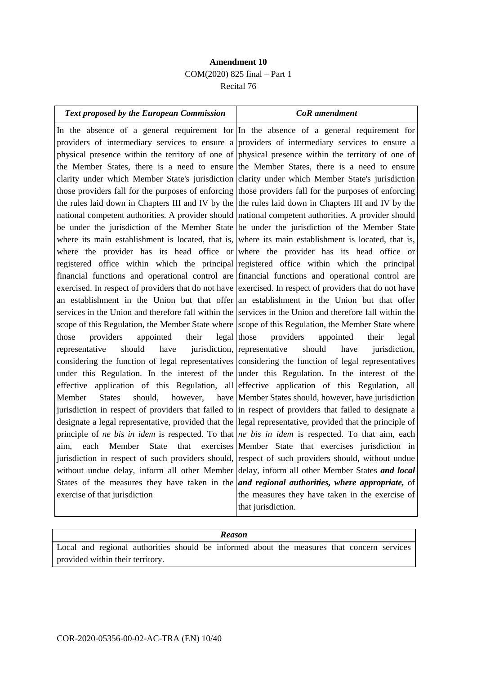### **Amendment 10** COM(2020) 825 final – Part 1 Recital 76

| <b>Text proposed by the European Commission</b>                                                     | <b>CoR</b> amendment                                                                                           |
|-----------------------------------------------------------------------------------------------------|----------------------------------------------------------------------------------------------------------------|
|                                                                                                     | In the absence of a general requirement for In the absence of a general requirement for                        |
|                                                                                                     | providers of intermediary services to ensure a providers of intermediary services to ensure a                  |
|                                                                                                     | physical presence within the territory of one of physical presence within the territory of one of              |
|                                                                                                     | the Member States, there is a need to ensure the Member States, there is a need to ensure                      |
|                                                                                                     | clarity under which Member State's jurisdiction clarity under which Member State's jurisdiction                |
|                                                                                                     | those providers fall for the purposes of enforcing those providers fall for the purposes of enforcing          |
| the rules laid down in Chapters III and IV by the the rules laid down in Chapters III and IV by the |                                                                                                                |
|                                                                                                     | national competent authorities. A provider should national competent authorities. A provider should            |
|                                                                                                     | be under the jurisdiction of the Member State be under the jurisdiction of the Member State                    |
|                                                                                                     | where its main establishment is located, that is, where its main establishment is located, that is,            |
|                                                                                                     | where the provider has its head office or where the provider has its head office or                            |
|                                                                                                     | registered office within which the principal registered office within which the principal                      |
|                                                                                                     | financial functions and operational control are financial functions and operational control are                |
|                                                                                                     | exercised. In respect of providers that do not have exercised. In respect of providers that do not have        |
|                                                                                                     | an establishment in the Union but that offer an establishment in the Union but that offer                      |
|                                                                                                     | services in the Union and therefore fall within the services in the Union and therefore fall within the        |
| scope of this Regulation, the Member State where scope of this Regulation, the Member State where   |                                                                                                                |
| appointed<br>their<br>those<br>providers                                                            | $\log_{1}$ those<br>providers<br>appointed<br>their<br>legal                                                   |
| representative<br>should<br>have                                                                    | jurisdiction, representative<br>should<br>have<br>jurisdiction,                                                |
|                                                                                                     | considering the function of legal representatives considering the function of legal representatives            |
|                                                                                                     | under this Regulation. In the interest of the under this Regulation. In the interest of the                    |
| effective                                                                                           | application of this Regulation, all effective application of this Regulation, all                              |
| Member<br><b>States</b><br>should,<br>however,                                                      | have Member States should, however, have jurisdiction                                                          |
|                                                                                                     | jurisdiction in respect of providers that failed to in respect of providers that failed to designate a         |
|                                                                                                     | designate a legal representative, provided that the legal representative, provided that the principle of       |
|                                                                                                     | principle of <i>ne bis in idem</i> is respected. To that <i>ne bis in idem</i> is respected. To that aim, each |
| that<br>each<br>Member<br><b>State</b><br>aim.                                                      | exercises Member State that exercises jurisdiction in                                                          |
| jurisdiction in respect of such providers should, respect of such providers should, without undue   |                                                                                                                |
|                                                                                                     | without undue delay, inform all other Member delay, inform all other Member States and local                   |
|                                                                                                     | States of the measures they have taken in the <i>and regional authorities</i> , where appropriate, of          |
| exercise of that jurisdiction                                                                       | the measures they have taken in the exercise of                                                                |
|                                                                                                     | that jurisdiction.                                                                                             |

## *Reason* Local and regional authorities should be informed about the measures that concern services provided within their territory.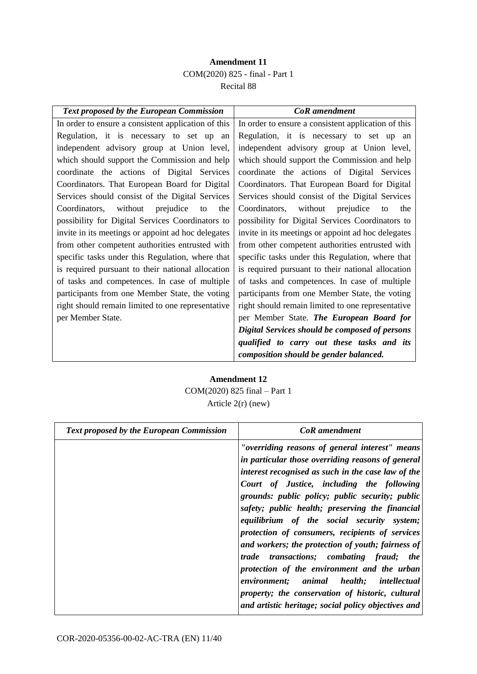### **Amendment 11** COM(2020) 825 - final - Part 1 Recital 88

| <b>Text proposed by the European Commission</b>     | <b>CoR</b> amendment                                |
|-----------------------------------------------------|-----------------------------------------------------|
| In order to ensure a consistent application of this | In order to ensure a consistent application of this |
| Regulation, it is necessary to set up an            | Regulation, it is necessary to set up an            |
| independent advisory group at Union level,          | independent advisory group at Union level,          |
| which should support the Commission and help        | which should support the Commission and help        |
| coordinate the actions of Digital Services          | coordinate the actions of Digital Services          |
| Coordinators. That European Board for Digital       | Coordinators. That European Board for Digital       |
| Services should consist of the Digital Services     | Services should consist of the Digital Services     |
| without<br>prejudice<br>Coordinators,<br>to<br>the  | Coordinators,<br>without<br>prejudice<br>the<br>to  |
| possibility for Digital Services Coordinators to    | possibility for Digital Services Coordinators to    |
| invite in its meetings or appoint ad hoc delegates  | invite in its meetings or appoint ad hoc delegates  |
| from other competent authorities entrusted with     | from other competent authorities entrusted with     |
| specific tasks under this Regulation, where that    | specific tasks under this Regulation, where that    |
| is required pursuant to their national allocation   | is required pursuant to their national allocation   |
| of tasks and competences. In case of multiple       | of tasks and competences. In case of multiple       |
| participants from one Member State, the voting      | participants from one Member State, the voting      |
| right should remain limited to one representative   | right should remain limited to one representative   |
| per Member State.                                   | per Member State. The European Board for            |
|                                                     | Digital Services should be composed of persons      |
|                                                     | qualified to carry out these tasks and its          |
|                                                     | composition should be gender balanced.              |

### **Amendment 12** COM(2020) 825 final – Part 1 Article 2(r) (new)

| <b>Text proposed by the European Commission</b> | CoR amendment                                                                                                                                                                                                                                                                                                                                                                                                                                                                                                                                                                                                                                                                                                        |
|-------------------------------------------------|----------------------------------------------------------------------------------------------------------------------------------------------------------------------------------------------------------------------------------------------------------------------------------------------------------------------------------------------------------------------------------------------------------------------------------------------------------------------------------------------------------------------------------------------------------------------------------------------------------------------------------------------------------------------------------------------------------------------|
|                                                 | "overriding reasons of general interest" means<br>in particular those overriding reasons of general<br>interest recognised as such in the case law of the<br>Court of Justice, including the following<br>grounds: public policy; public security; public<br>safety; public health; preserving the financial<br>equilibrium of the social security system;<br>protection of consumers, recipients of services<br>and workers; the protection of youth; fairness of<br>trade transactions; combating fraud; the<br>protection of the environment and the urban<br>environment; animal health; intellectual<br>property; the conservation of historic, cultural<br>and artistic heritage; social policy objectives and |
|                                                 |                                                                                                                                                                                                                                                                                                                                                                                                                                                                                                                                                                                                                                                                                                                      |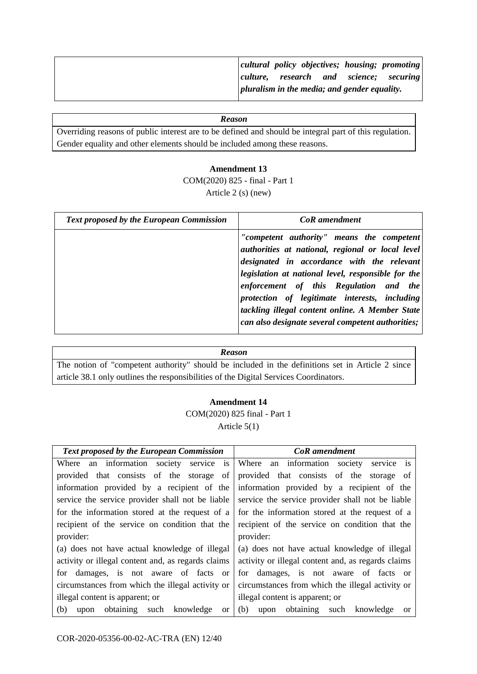|  |  |                                                      | cultural policy objectives; housing; promoting |
|--|--|------------------------------------------------------|------------------------------------------------|
|  |  |                                                      | culture, research and science; securing        |
|  |  | $\vert$ pluralism in the media; and gender equality. |                                                |

Overriding reasons of public interest are to be defined and should be integral part of this regulation. Gender equality and other elements should be included among these reasons.

#### **Amendment 13**

COM(2020) 825 - final - Part 1 Article 2 (s) (new)

| <b>Text proposed by the European Commission</b> | <b>CoR</b> amendment                                                                                                                                                                                                                                                                                                                                                                                 |
|-------------------------------------------------|------------------------------------------------------------------------------------------------------------------------------------------------------------------------------------------------------------------------------------------------------------------------------------------------------------------------------------------------------------------------------------------------------|
|                                                 | "competent authority" means the competent<br>authorities at national, regional or local level<br>designated in accordance with the relevant<br>legislation at national level, responsible for the<br>enforcement of this Regulation and the<br>protection of legitimate interests, including<br>tackling illegal content online. A Member State<br>can also designate several competent authorities; |

#### *Reason*

The notion of "competent authority" should be included in the definitions set in Article 2 since article 38.1 only outlines the responsibilities of the Digital Services Coordinators.

#### **Amendment 14**

COM(2020) 825 final - Part 1 Article 5(1)

| <b>Text proposed by the European Commission</b>          | <b>CoR</b> amendment                                  |
|----------------------------------------------------------|-------------------------------------------------------|
| Where an information society service is                  | Where an information society service is               |
| provided that consists of the storage of                 | provided that consists of the storage of              |
| information provided by a recipient of the               | information provided by a recipient of the            |
| service the service provider shall not be liable         | service the service provider shall not be liable      |
| for the information stored at the request of a           | for the information stored at the request of a        |
| recipient of the service on condition that the           | recipient of the service on condition that the        |
| provider:                                                | provider:                                             |
| (a) does not have actual knowledge of illegal            | (a) does not have actual knowledge of illegal         |
| activity or illegal content and, as regards claims       | activity or illegal content and, as regards claims    |
| for damages, is not aware of facts or                    | for damages, is not aware of facts or                 |
| circumstances from which the illegal activity or         | circumstances from which the illegal activity or      |
| illegal content is apparent; or                          | illegal content is apparent; or                       |
| obtaining such knowledge<br>(b)<br>upon<br><sub>or</sub> | (b)<br>upon obtaining such knowledge<br><sub>or</sub> |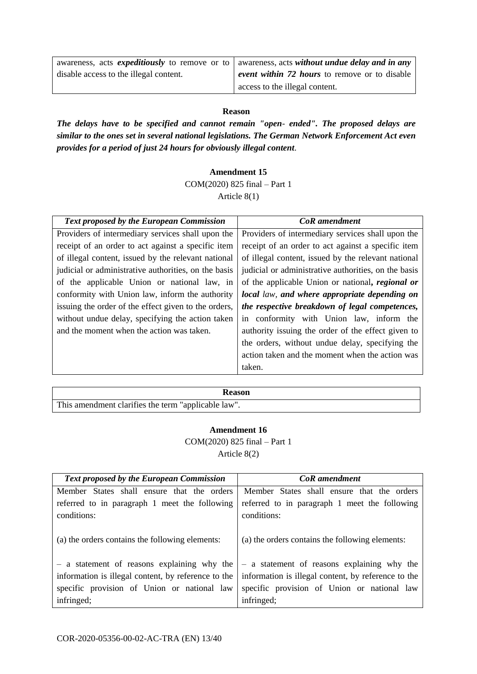| awareness, acts <i>expeditiously</i> to remove or to awareness, acts <i>without undue delay and in any</i> |                                               |
|------------------------------------------------------------------------------------------------------------|-----------------------------------------------|
| disable access to the illegal content.                                                                     | event within 72 hours to remove or to disable |
|                                                                                                            | access to the illegal content.                |

*The delays have to be specified and cannot remain "open*- *ended". The proposed delays are similar to the ones set in several national legislations. The German Network Enforcement Act even provides for a period of just 24 hours for obviously illegal content*.

#### **Amendment 15**

COM(2020) 825 final – Part 1 Article 8(1)

| <b>Text proposed by the European Commission</b>      | <b>CoR</b> amendment                                 |
|------------------------------------------------------|------------------------------------------------------|
| Providers of intermediary services shall upon the    | Providers of intermediary services shall upon the    |
| receipt of an order to act against a specific item   | receipt of an order to act against a specific item   |
| of illegal content, issued by the relevant national  | of illegal content, issued by the relevant national  |
| judicial or administrative authorities, on the basis | judicial or administrative authorities, on the basis |
| of the applicable Union or national law, in          | of the applicable Union or national, regional or     |
| conformity with Union law, inform the authority      | local law, and where appropriate depending on        |
| issuing the order of the effect given to the orders, | the respective breakdown of legal competences,       |
| without undue delay, specifying the action taken     | in conformity with Union law, inform the             |
| and the moment when the action was taken.            | authority issuing the order of the effect given to   |
|                                                      | the orders, without undue delay, specifying the      |
|                                                      | action taken and the moment when the action was      |
|                                                      | taken.                                               |

### **Reason**  This amendment clarifies the term "applicable law".

#### **Amendment 16**

COM(2020) 825 final – Part 1 Article 8(2)

| <b>Text proposed by the European Commission</b>     | CoR amendment                                       |
|-----------------------------------------------------|-----------------------------------------------------|
| Member States shall ensure that the orders          | Member States shall ensure that the orders          |
| referred to in paragraph 1 meet the following       | referred to in paragraph 1 meet the following       |
| conditions:                                         | conditions:                                         |
| (a) the orders contains the following elements:     | (a) the orders contains the following elements:     |
| - a statement of reasons explaining why the         | - a statement of reasons explaining why the         |
| information is illegal content, by reference to the | information is illegal content, by reference to the |
| specific provision of Union or national law         | specific provision of Union or national law         |
| infringed;                                          | infringed;                                          |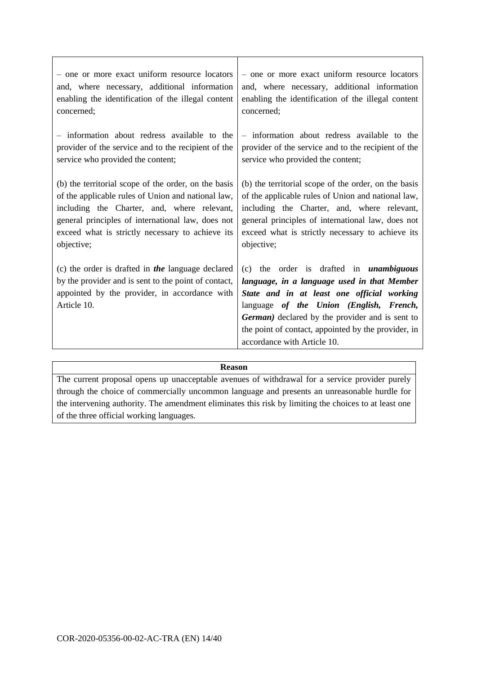| - one or more exact uniform resource locators                                                                                                                             | - one or more exact uniform resource locators                                                                                                                                                                                                                                                                                           |
|---------------------------------------------------------------------------------------------------------------------------------------------------------------------------|-----------------------------------------------------------------------------------------------------------------------------------------------------------------------------------------------------------------------------------------------------------------------------------------------------------------------------------------|
| and, where necessary, additional information                                                                                                                              | and, where necessary, additional information                                                                                                                                                                                                                                                                                            |
| enabling the identification of the illegal content                                                                                                                        | enabling the identification of the illegal content                                                                                                                                                                                                                                                                                      |
| concerned;                                                                                                                                                                | concerned;                                                                                                                                                                                                                                                                                                                              |
| - information about redress available to the                                                                                                                              | - information about redress available to the                                                                                                                                                                                                                                                                                            |
| provider of the service and to the recipient of the                                                                                                                       | provider of the service and to the recipient of the                                                                                                                                                                                                                                                                                     |
| service who provided the content;                                                                                                                                         | service who provided the content;                                                                                                                                                                                                                                                                                                       |
| (b) the territorial scope of the order, on the basis                                                                                                                      | (b) the territorial scope of the order, on the basis                                                                                                                                                                                                                                                                                    |
| of the applicable rules of Union and national law,                                                                                                                        | of the applicable rules of Union and national law,                                                                                                                                                                                                                                                                                      |
| including the Charter, and, where relevant,                                                                                                                               | including the Charter, and, where relevant,                                                                                                                                                                                                                                                                                             |
| general principles of international law, does not                                                                                                                         | general principles of international law, does not                                                                                                                                                                                                                                                                                       |
| exceed what is strictly necessary to achieve its                                                                                                                          | exceed what is strictly necessary to achieve its                                                                                                                                                                                                                                                                                        |
| objective;                                                                                                                                                                | objective;                                                                                                                                                                                                                                                                                                                              |
| (c) the order is drafted in the language declared<br>by the provider and is sent to the point of contact,<br>appointed by the provider, in accordance with<br>Article 10. | (c) the order is drafted in <i>unambiguous</i><br>language, in a language used in that Member<br>State and in at least one official working<br>language of the Union (English, French,<br><b>German</b> ) declared by the provider and is sent to<br>the point of contact, appointed by the provider, in<br>accordance with Article 10. |

The current proposal opens up unacceptable avenues of withdrawal for a service provider purely through the choice of commercially uncommon language and presents an unreasonable hurdle for the intervening authority. The amendment eliminates this risk by limiting the choices to at least one of the three official working languages.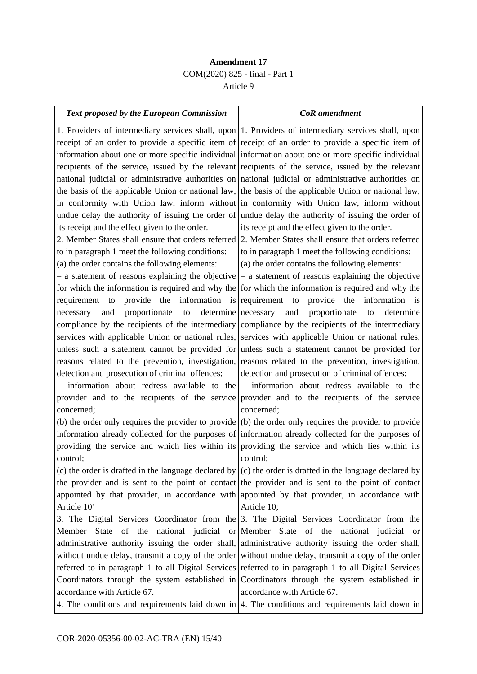### **Amendment 17** COM(2020) 825 - final - Part 1 Article 9

| Text proposed by the European Commission                                                          | <b>CoR</b> amendment                                                                                        |
|---------------------------------------------------------------------------------------------------|-------------------------------------------------------------------------------------------------------------|
|                                                                                                   | 1. Providers of intermediary services shall, upon 1. Providers of intermediary services shall, upon         |
|                                                                                                   | receipt of an order to provide a specific item of receipt of an order to provide a specific item of         |
|                                                                                                   | information about one or more specific individual information about one or more specific individual         |
|                                                                                                   | recipients of the service, issued by the relevant recipients of the service, issued by the relevant         |
|                                                                                                   | national judicial or administrative authorities on national judicial or administrative authorities on       |
|                                                                                                   | the basis of the applicable Union or national law, the basis of the applicable Union or national law,       |
|                                                                                                   | in conformity with Union law, inform without in conformity with Union law, inform without                   |
|                                                                                                   | undue delay the authority of issuing the order of undue delay the authority of issuing the order of         |
| its receipt and the effect given to the order.                                                    | its receipt and the effect given to the order.                                                              |
| 2. Member States shall ensure that orders referred                                                | 2. Member States shall ensure that orders referred                                                          |
| to in paragraph 1 meet the following conditions:                                                  | to in paragraph 1 meet the following conditions:                                                            |
| (a) the order contains the following elements:                                                    | (a) the order contains the following elements:                                                              |
| - a statement of reasons explaining the objective                                                 | - a statement of reasons explaining the objective                                                           |
|                                                                                                   | for which the information is required and why the for which the information is required and why the         |
| provide the information is requirement to<br>requirement<br>to                                    | provide<br>the<br>information is                                                                            |
| proportionate to<br>necessary<br>and                                                              | determine necessary<br>and<br>proportionate<br>to<br>determine                                              |
| compliance by the recipients of the intermediary compliance by the recipients of the intermediary |                                                                                                             |
|                                                                                                   | services with applicable Union or national rules, services with applicable Union or national rules,         |
|                                                                                                   | unless such a statement cannot be provided for unless such a statement cannot be provided for               |
|                                                                                                   | reasons related to the prevention, investigation, reasons related to the prevention, investigation,         |
| detection and prosecution of criminal offences;                                                   | detection and prosecution of criminal offences;                                                             |
|                                                                                                   | - information about redress available to the $-$ information about redress available to the                 |
| provider and to the recipients of the service provider and to the recipients of the service       |                                                                                                             |
| concerned;                                                                                        | concerned;                                                                                                  |
|                                                                                                   | (b) the order only requires the provider to provide $(6)$ the order only requires the provider to provide   |
|                                                                                                   | information already collected for the purposes of information already collected for the purposes of         |
|                                                                                                   | providing the service and which lies within its providing the service and which lies within its             |
| control;                                                                                          | control;                                                                                                    |
|                                                                                                   | (c) the order is drafted in the language declared by $(c)$ the order is drafted in the language declared by |
|                                                                                                   | the provider and is sent to the point of contact the provider and is sent to the point of contact           |
|                                                                                                   | appointed by that provider, in accordance with appointed by that provider, in accordance with               |
| Article 10'                                                                                       | Article 10;                                                                                                 |
|                                                                                                   | 3. The Digital Services Coordinator from the 3. The Digital Services Coordinator from the                   |
|                                                                                                   | Member State of the national judicial or Member State of the national judicial or                           |
|                                                                                                   | administrative authority issuing the order shall, administrative authority issuing the order shall,         |
|                                                                                                   | without undue delay, transmit a copy of the order without undue delay, transmit a copy of the order         |
|                                                                                                   | referred to in paragraph 1 to all Digital Services referred to in paragraph 1 to all Digital Services       |
|                                                                                                   | Coordinators through the system established in Coordinators through the system established in               |
| accordance with Article 67.                                                                       | accordance with Article 67.                                                                                 |
|                                                                                                   | 4. The conditions and requirements laid down in $\vert$ 4. The conditions and requirements laid down in     |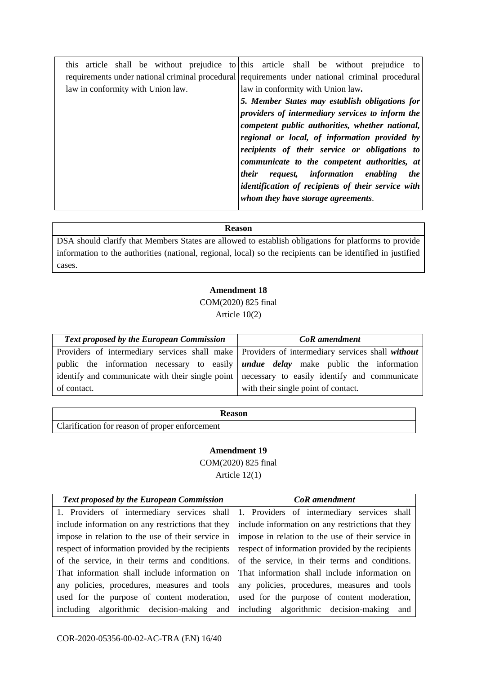| this article shall be without prejudice to this article shall be without prejudice to           |
|-------------------------------------------------------------------------------------------------|
| requirements under national criminal procedural requirements under national criminal procedural |
| law in conformity with Union law.                                                               |
| 5. Member States may establish obligations for                                                  |
| providers of intermediary services to inform the                                                |
| competent public authorities, whether national,                                                 |
| regional or local, of information provided by                                                   |
| recipients of their service or obligations to                                                   |
| communicate to the competent authorities, at                                                    |
| request, information enabling<br><i>their</i><br><i>the</i>                                     |
| identification of recipients of their service with                                              |
| whom they have storage agreements.                                                              |
|                                                                                                 |

DSA should clarify that Members States are allowed to establish obligations for platforms to provide information to the authorities (national, regional, local) so the recipients can be identified in justified cases.

#### **Amendment 18**

COM(2020) 825 final Article 10(2)

| <b>Text proposed by the European Commission</b>                                                  | <b>CoR</b> amendment                |
|--------------------------------------------------------------------------------------------------|-------------------------------------|
| Providers of intermediary services shall make   Providers of intermediary services shall without |                                     |
| public the information necessary to easily <i>undue delay</i> make public the information        |                                     |
| identify and communicate with their single point   necessary to easily identify and communicate  |                                     |
| of contact.                                                                                      | with their single point of contact. |

| Reason                                         |
|------------------------------------------------|
| Clarification for reason of proper enforcement |

#### **Amendment 19**

COM(2020) 825 final Article 12(1)

| <b>Text proposed by the European Commission</b>                                           | <b>CoR</b> amendment                              |
|-------------------------------------------------------------------------------------------|---------------------------------------------------|
| 1. Providers of intermediary services shall 1. Providers of intermediary services shall   |                                                   |
| include information on any restrictions that they                                         | include information on any restrictions that they |
| impose in relation to the use of their service in                                         | impose in relation to the use of their service in |
| respect of information provided by the recipients                                         | respect of information provided by the recipients |
| of the service, in their terms and conditions.                                            | of the service, in their terms and conditions.    |
| That information shall include information on                                             | That information shall include information on     |
| any policies, procedures, measures and tools any policies, procedures, measures and tools |                                                   |
| used for the purpose of content moderation, used for the purpose of content moderation,   |                                                   |
| including algorithmic decision-making and including algorithmic decision-making and       |                                                   |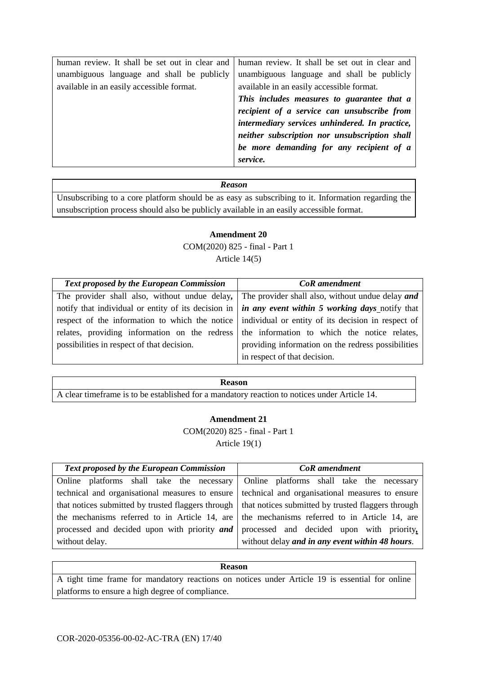| human review. It shall be set out in clear and | human review. It shall be set out in clear and |
|------------------------------------------------|------------------------------------------------|
| unambiguous language and shall be publicly     | unambiguous language and shall be publicly     |
| available in an easily accessible format.      | available in an easily accessible format.      |
|                                                | This includes measures to guarantee that a     |
|                                                | recipient of a service can unsubscribe from    |
|                                                | intermediary services unhindered. In practice, |
|                                                | neither subscription nor unsubscription shall  |
|                                                | be more demanding for any recipient of a       |
|                                                | service.                                       |

Unsubscribing to a core platform should be as easy as subscribing to it. Information regarding the unsubscription process should also be publicly available in an easily accessible format.

# **Amendment 20**

COM(2020) 825 - final - Part 1 Article 14(5)

| <b>Text proposed by the European Commission</b>                                                   | <b>CoR</b> amendment                                                                                                    |
|---------------------------------------------------------------------------------------------------|-------------------------------------------------------------------------------------------------------------------------|
|                                                                                                   | The provider shall also, without undue delay, The provider shall also, without undue delay and                          |
|                                                                                                   | notify that individual or entity of its decision in $\int$ <i>in any event within</i> 5 <i>working days</i> notify that |
| respect of the information to which the notice individual or entity of its decision in respect of |                                                                                                                         |
| relates, providing information on the redress the information to which the notice relates,        |                                                                                                                         |
| possibilities in respect of that decision.                                                        | providing information on the redress possibilities                                                                      |
|                                                                                                   | in respect of that decision.                                                                                            |

### **Reason**

A clear timeframe is to be established for a mandatory reaction to notices under Article 14.

#### **Amendment 21**

COM(2020) 825 - final - Part 1

Article 19(1)

| <b>Text proposed by the European Commission</b>                                                         | <b>CoR</b> amendment                                                                     |
|---------------------------------------------------------------------------------------------------------|------------------------------------------------------------------------------------------|
| Online platforms shall take the necessary   Online platforms shall take the necessary                   |                                                                                          |
| technical and organisational measures to ensure technical and organisational measures to ensure         |                                                                                          |
| that notices submitted by trusted flaggers through   that notices submitted by trusted flaggers through |                                                                                          |
| the mechanisms referred to in Article 14, are the mechanisms referred to in Article 14, are             |                                                                                          |
|                                                                                                         | processed and decided upon with priority $and$ processed and decided upon with priority, |
| without delay.                                                                                          | without delay and in any event within 48 hours.                                          |

### **Reason**  A tight time frame for mandatory reactions on notices under Article 19 is essential for online platforms to ensure a high degree of compliance.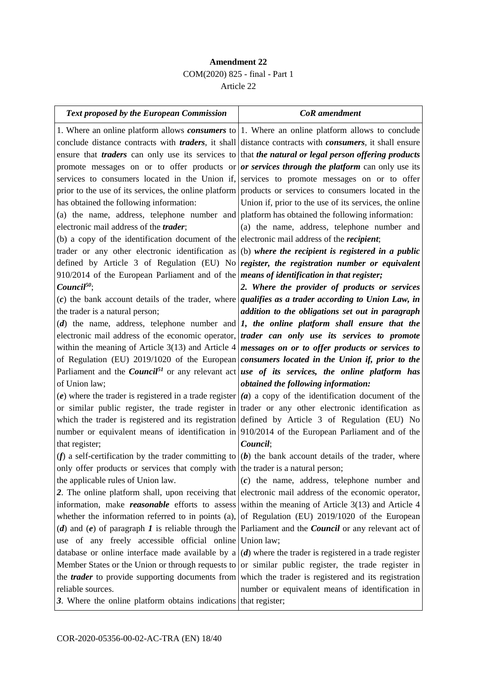### **Amendment 22** COM(2020) 825 - final - Part 1 Article 22

| <b>Text proposed by the European Commission</b>                                                    | <b>CoR</b> amendment                                                                                                  |
|----------------------------------------------------------------------------------------------------|-----------------------------------------------------------------------------------------------------------------------|
|                                                                                                    | 1. Where an online platform allows <i>consumers</i> to 1. Where an online platform allows to conclude                 |
|                                                                                                    | conclude distance contracts with <i>traders</i> , it shall distance contracts with <i>consumers</i> , it shall ensure |
|                                                                                                    | ensure that traders can only use its services to that the natural or legal person offering products                   |
|                                                                                                    | promote messages on or to offer products or <i>or services through the platform</i> can only use its                  |
|                                                                                                    | services to consumers located in the Union if, services to promote messages on or to offer                            |
|                                                                                                    | prior to the use of its services, the online platform products or services to consumers located in the                |
| has obtained the following information:                                                            | Union if, prior to the use of its services, the online                                                                |
| (a) the name, address, telephone number and platform has obtained the following information:       |                                                                                                                       |
| electronic mail address of the <i>trader</i> ;                                                     | (a) the name, address, telephone number and                                                                           |
| (b) a copy of the identification document of the electronic mail address of the <i>recipient</i> ; |                                                                                                                       |
|                                                                                                    | trader or any other electronic identification as (b) where the recipient is registered in a public                    |
|                                                                                                    | defined by Article 3 of Regulation (EU) No register, the registration number or equivalent                            |
| 910/2014 of the European Parliament and of the <i>means of identification in that register</i> ;   |                                                                                                                       |
| $Count^{50}$                                                                                       | 2. Where the provider of products or services                                                                         |
|                                                                                                    | (c) the bank account details of the trader, where <i>qualifies as a trader according to Union Law</i> , in            |
| the trader is a natural person;                                                                    | addition to the obligations set out in paragraph                                                                      |
|                                                                                                    | (d) the name, address, telephone number and $\vert I$ , the online platform shall ensure that the                     |
|                                                                                                    | electronic mail address of the economic operator, <i>trader can only use its services to promote</i>                  |
|                                                                                                    | within the meaning of Article 3(13) and Article 4 <i>messages on or to offer products or services to</i>              |
|                                                                                                    | of Regulation (EU) $2019/1020$ of the European <i>consumers located in the Union if, prior to the</i>                 |
|                                                                                                    | Parliament and the Council <sup>51</sup> or any relevant act use of its services, the online platform has             |
| of Union law;                                                                                      | obtained the following information:                                                                                   |
|                                                                                                    | (e) where the trader is registered in a trade register $(a)$ a copy of the identification document of the             |
|                                                                                                    | or similar public register, the trade register in trader or any other electronic identification as                    |
|                                                                                                    | which the trader is registered and its registration defined by Article 3 of Regulation (EU) No                        |
|                                                                                                    | number or equivalent means of identification in 910/2014 of the European Parliament and of the                        |
| that register;                                                                                     | Council:                                                                                                              |
|                                                                                                    | (f) a self-certification by the trader committing to $ b\rangle$ the bank account details of the trader, where        |
| only offer products or services that comply with the trader is a natural person;                   |                                                                                                                       |
| the applicable rules of Union law.                                                                 | $(c)$ the name, address, telephone number and                                                                         |
|                                                                                                    | 2. The online platform shall, upon receiving that electronic mail address of the economic operator,                   |
|                                                                                                    | information, make <b>reasonable</b> efforts to assess within the meaning of Article 3(13) and Article 4               |
|                                                                                                    | whether the information referred to in points (a), of Regulation (EU) 2019/1020 of the European                       |
|                                                                                                    | (d) and (e) of paragraph $I$ is reliable through the Parliament and the <i>Council</i> or any relevant act of         |
| use of any freely accessible official online Union law;                                            |                                                                                                                       |
|                                                                                                    | database or online interface made available by $a (d)$ where the trader is registered in a trade register             |
|                                                                                                    | Member States or the Union or through requests to or similar public register, the trade register in                   |
|                                                                                                    | the <i>trader</i> to provide supporting documents from which the trader is registered and its registration            |
| reliable sources.                                                                                  | number or equivalent means of identification in                                                                       |
| 3. Where the online platform obtains indications that register;                                    |                                                                                                                       |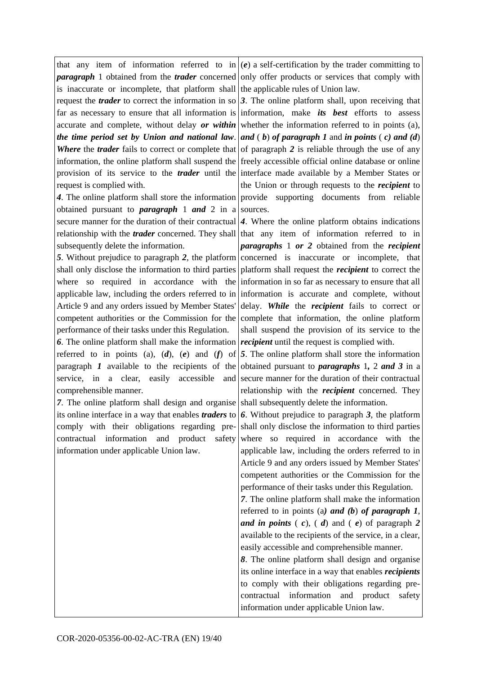that any item of information referred to in *paragraph* 1 obtained from the *trader* concerned is inaccurate or incomplete, that platform shall request the *trader* to correct the information in so far as necessary to ensure that all information is accurate and complete, without delay *or within the time period set by Union and national law*. *Where* the *trader* fails to correct or complete that information, the online platform shall suspend the provision of its service to the *trader* until the request is complied with.

*4*. The online platform shall store the information obtained pursuant to *paragraph* 1 *and* 2 in a secure manner for the duration of their contractual relationship with the *trader* concerned. They shall subsequently delete the information.

*5*. Without prejudice to paragraph *2*, the platform shall only disclose the information to third parties where so required in accordance with the applicable law, including the orders referred to in Article 9 and any orders issued by Member States' competent authorities or the Commission for the performance of their tasks under this Regulation.

*6*. The online platform shall make the information referred to in points (a), (*d*), (*e*) and (*f*) of paragraph *1* available to the recipients of the service, in a clear, easily accessible and comprehensible manner.

*7*. The online platform shall design and organise its online interface in a way that enables *traders* to comply with their obligations regarding precontractual information and product safety information under applicable Union law.

(*e*) a self-certification by the trader committing to only offer products or services that comply with the applicable rules of Union law.

*3*. The online platform shall, upon receiving that information, make *its best* efforts to assess whether the information referred to in points (a), *and* ( *b*) *of paragraph 1* and *in points* ( *c) and (d*) of paragraph *2* is reliable through the use of any freely accessible official online database or online interface made available by a Member States or the Union or through requests to the *recipient* to provide supporting documents from reliable sources.

*4*. Where the online platform obtains indications that any item of information referred to in *paragraphs* 1 *or 2* obtained from the *recipient* concerned is inaccurate or incomplete, that platform shall request the *recipient* to correct the information in so far as necessary to ensure that all information is accurate and complete, without delay. *While* the *recipient* fails to correct or complete that information, the online platform shall suspend the provision of its service to the *recipient* until the request is complied with.

*5*. The online platform shall store the information obtained pursuant to *paragraphs* 1*,* 2 *and 3* in a secure manner for the duration of their contractual relationship with the *recipient* concerned. They shall subsequently delete the information.

*6*. Without prejudice to paragraph *3*, the platform shall only disclose the information to third parties where so required in accordance with the applicable law, including the orders referred to in Article 9 and any orders issued by Member States' competent authorities or the Commission for the performance of their tasks under this Regulation.

*7*. The online platform shall make the information referred to in points (a*) and (b*) *of paragraph 1*, *and in points* (*c*), (*d*) and (*e*) of paragraph 2 available to the recipients of the service, in a clear, easily accessible and comprehensible manner.

*8*. The online platform shall design and organise its online interface in a way that enables *recipients* to comply with their obligations regarding precontractual information and product safety information under applicable Union law.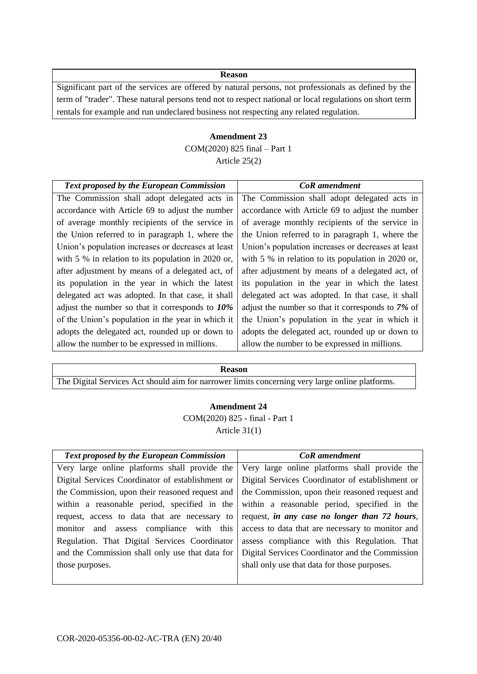Significant part of the services are offered by natural persons, not professionals as defined by the term of "trader". These natural persons tend not to respect national or local regulations on short term rentals for example and run undeclared business not respecting any related regulation.

### **Amendment 23** COM(2020) 825 final – Part 1 Article 25(2)

| Text proposed by the European Commission             | <b>CoR</b> amendment                                 |
|------------------------------------------------------|------------------------------------------------------|
| The Commission shall adopt delegated acts in         | The Commission shall adopt delegated acts in         |
| accordance with Article 69 to adjust the number      | accordance with Article 69 to adjust the number      |
| of average monthly recipients of the service in      | of average monthly recipients of the service in      |
| the Union referred to in paragraph 1, where the      | the Union referred to in paragraph 1, where the      |
| Union's population increases or decreases at least   | Union's population increases or decreases at least   |
| with $5\%$ in relation to its population in 2020 or, | with $5\%$ in relation to its population in 2020 or, |
| after adjustment by means of a delegated act, of     | after adjustment by means of a delegated act, of     |
| its population in the year in which the latest       | its population in the year in which the latest       |
| delegated act was adopted. In that case, it shall    | delegated act was adopted. In that case, it shall    |
| adjust the number so that it corresponds to $10\%$   | adjust the number so that it corresponds to 7% of    |
| of the Union's population in the year in which it    | the Union's population in the year in which it       |
| adopts the delegated act, rounded up or down to      | adopts the delegated act, rounded up or down to      |
| allow the number to be expressed in millions.        | allow the number to be expressed in millions.        |

#### **Reason**

The Digital Services Act should aim for narrower limits concerning very large online platforms.

### **Amendment 24** COM(2020) 825 - final - Part 1 Article 31(1)

| <b>Text proposed by the European Commission</b>  | <b>CoR</b> amendment                             |
|--------------------------------------------------|--------------------------------------------------|
| Very large online platforms shall provide the    | Very large online platforms shall provide the    |
| Digital Services Coordinator of establishment or | Digital Services Coordinator of establishment or |
| the Commission, upon their reasoned request and  | the Commission, upon their reasoned request and  |
| within a reasonable period, specified in the     | within a reasonable period, specified in the     |
| request, access to data that are necessary to    | request, in any case no longer than 72 hours,    |
| monitor and assess compliance with this          | access to data that are necessary to monitor and |
| Regulation. That Digital Services Coordinator    | assess compliance with this Regulation. That     |
| and the Commission shall only use that data for  | Digital Services Coordinator and the Commission  |
| those purposes.                                  | shall only use that data for those purposes.     |
|                                                  |                                                  |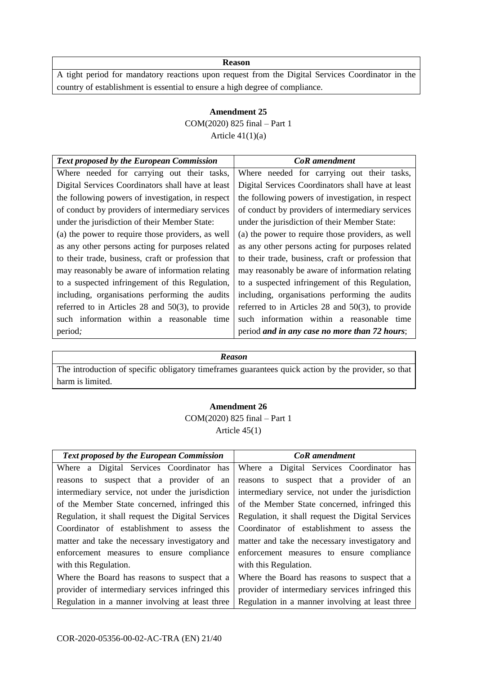A tight period for mandatory reactions upon request from the Digital Services Coordinator in the country of establishment is essential to ensure a high degree of compliance.

### **Amendment 25** COM(2020) 825 final – Part 1 Article  $41(1)(a)$

| <b>Text proposed by the European Commission</b>     | CoR amendment                                       |
|-----------------------------------------------------|-----------------------------------------------------|
| Where needed for carrying out their tasks,          | Where needed for carrying out their tasks,          |
| Digital Services Coordinators shall have at least   | Digital Services Coordinators shall have at least   |
| the following powers of investigation, in respect   | the following powers of investigation, in respect   |
| of conduct by providers of intermediary services    | of conduct by providers of intermediary services    |
| under the jurisdiction of their Member State:       | under the jurisdiction of their Member State:       |
| (a) the power to require those providers, as well   | (a) the power to require those providers, as well   |
| as any other persons acting for purposes related    | as any other persons acting for purposes related    |
| to their trade, business, craft or profession that  | to their trade, business, craft or profession that  |
| may reasonably be aware of information relating     | may reasonably be aware of information relating     |
| to a suspected infringement of this Regulation,     | to a suspected infringement of this Regulation,     |
| including, organisations performing the audits      | including, organisations performing the audits      |
| referred to in Articles 28 and $50(3)$ , to provide | referred to in Articles 28 and $50(3)$ , to provide |
| such information within a reasonable time           | such information within a reasonable time           |
| period;                                             | period and in any case no more than 72 hours;       |
|                                                     |                                                     |

#### *Reason*

The introduction of specific obligatory timeframes guarantees quick action by the provider, so that harm is limited.

#### **Amendment 26**

COM(2020) 825 final – Part 1  $Articl$ e  $45(1)$ 

| <b>Text proposed by the European Commission</b>   | <b>CoR</b> amendment                              |
|---------------------------------------------------|---------------------------------------------------|
| Where a Digital Services Coordinator has          | Where a Digital Services Coordinator has          |
| reasons to suspect that a provider of an          | reasons to suspect that a provider of an          |
| intermediary service, not under the jurisdiction  | intermediary service, not under the jurisdiction  |
| of the Member State concerned, infringed this     | of the Member State concerned, infringed this     |
| Regulation, it shall request the Digital Services | Regulation, it shall request the Digital Services |
| Coordinator of establishment to assess the        | Coordinator of establishment to assess the        |
| matter and take the necessary investigatory and   | matter and take the necessary investigatory and   |
| enforcement measures to ensure compliance         | enforcement measures to ensure compliance         |
| with this Regulation.                             | with this Regulation.                             |
| Where the Board has reasons to suspect that a     | Where the Board has reasons to suspect that a     |
| provider of intermediary services infringed this  | provider of intermediary services infringed this  |
| Regulation in a manner involving at least three   | Regulation in a manner involving at least three   |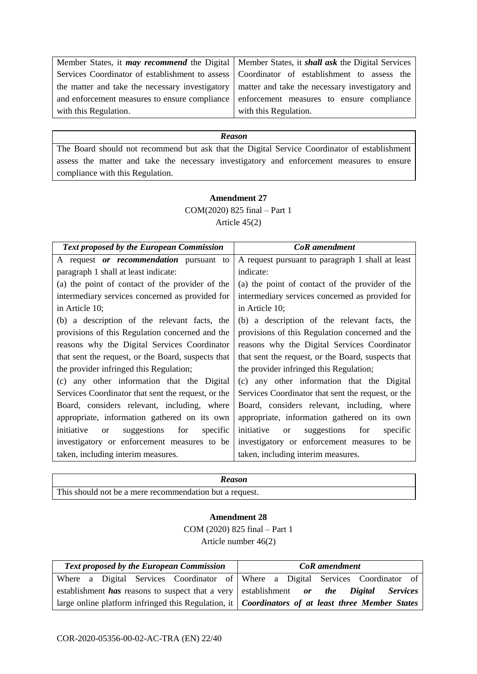| Member States, it <i>may recommend</i> the Digital $\vert$ M |                         |
|--------------------------------------------------------------|-------------------------|
| Services Coordinator of establishment to assess   C          |                         |
| the matter and take the necessary investigatory   n          |                         |
| and enforcement measures to ensure compliance e              |                         |
| with this Regulation.                                        | $\overline{\mathbf{v}}$ |

Member States, it *shall ask* the Digital Services Coordinator of establishment to assess the matter and take the necessary investigatory and enforcement measures to ensure compliance with this Regulation.

#### *Reason*

The Board should not recommend but ask that the Digital Service Coordinator of establishment assess the matter and take the necessary investigatory and enforcement measures to ensure compliance with this Regulation.

#### **Amendment 27**

COM(2020) 825 final – Part 1

Article 45(2)

| <b>Text proposed by the European Commission</b>            | <b>CoR</b> amendment                                          |
|------------------------------------------------------------|---------------------------------------------------------------|
| A request or recommendation pursuant to                    | A request pursuant to paragraph 1 shall at least              |
| paragraph 1 shall at least indicate:                       | indicate:                                                     |
| (a) the point of contact of the provider of the            | (a) the point of contact of the provider of the               |
| intermediary services concerned as provided for            | intermediary services concerned as provided for               |
| in Article 10;                                             | in Article 10;                                                |
| (b) a description of the relevant facts, the               | (b) a description of the relevant facts, the                  |
| provisions of this Regulation concerned and the            | provisions of this Regulation concerned and the               |
| reasons why the Digital Services Coordinator               | reasons why the Digital Services Coordinator                  |
| that sent the request, or the Board, suspects that         | that sent the request, or the Board, suspects that            |
| the provider infringed this Regulation;                    | the provider infringed this Regulation;                       |
| (c) any other information that the Digital                 | (c) any other information that the Digital                    |
| Services Coordinator that sent the request, or the         | Services Coordinator that sent the request, or the            |
| Board, considers relevant, including, where                | Board, considers relevant, including, where                   |
| appropriate, information gathered on its own               | appropriate, information gathered on its own                  |
| suggestions for<br>initiative<br>specific<br><sub>or</sub> | initiative<br>suggestions<br>for<br>specific<br><sub>or</sub> |
| investigatory or enforcement measures to be                | investigatory or enforcement measures to be                   |
| taken, including interim measures.                         | taken, including interim measures.                            |
|                                                            |                                                               |

| Reason                                                  |
|---------------------------------------------------------|
| This should not be a mere recommendation but a request. |

#### **Amendment 28**

COM (2020) 825 final – Part 1 Article number 46(2)

| <b>Text proposed by the European Commission</b>                                                                | <b>CoR</b> amendment                                                            |
|----------------------------------------------------------------------------------------------------------------|---------------------------------------------------------------------------------|
|                                                                                                                | Where a Digital Services Coordinator of Where a Digital Services Coordinator of |
| establishment has reasons to suspect that a very establishment or the Digital Services                         |                                                                                 |
| large online platform infringed this Regulation, it $\int$ <i>Coordinators of at least three Member States</i> |                                                                                 |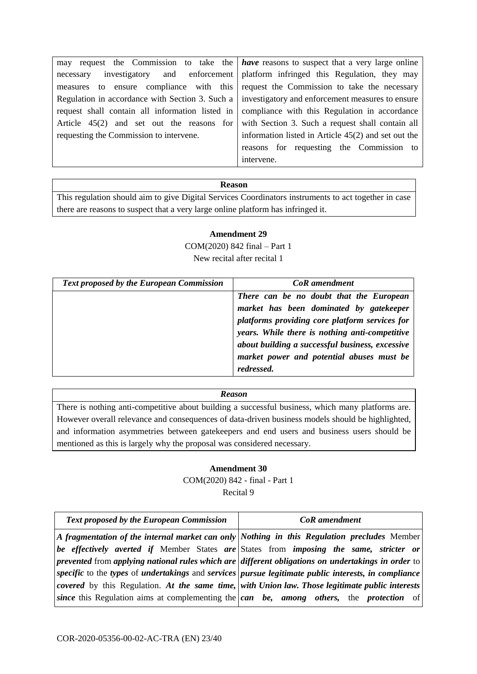|                                             | may request the Commission to take the <i>have</i> reasons to suspect that a very large online           |
|---------------------------------------------|----------------------------------------------------------------------------------------------------------|
| necessary                                   | investigatory and enforcement platform infringed this Regulation, they may                               |
|                                             | measures to ensure compliance with this request the Commission to take the necessary                     |
|                                             | Regulation in accordance with Section 3. Such a $\vert$ investigatory and enforcement measures to ensure |
|                                             | request shall contain all information listed in compliance with this Regulation in accordance            |
| Article $45(2)$ and set out the reasons for | with Section 3. Such a request shall contain all                                                         |
| requesting the Commission to intervene.     | information listed in Article 45(2) and set out the                                                      |
|                                             | reasons for requesting the Commission to                                                                 |
|                                             | intervene.                                                                                               |

This regulation should aim to give Digital Services Coordinators instruments to act together in case there are reasons to suspect that a very large online platform has infringed it.

### **Amendment 29**

COM(2020) 842 final – Part 1 New recital after recital 1

| <b>Text proposed by the European Commission</b> | <b>CoR</b> amendment                            |
|-------------------------------------------------|-------------------------------------------------|
|                                                 | There can be no doubt that the European         |
|                                                 | market has been dominated by gatekeeper         |
|                                                 | platforms providing core platform services for  |
|                                                 | years. While there is nothing anti-competitive  |
|                                                 | about building a successful business, excessive |
|                                                 | market power and potential abuses must be       |
|                                                 | redressed.                                      |

#### *Reason*

There is nothing anti-competitive about building a successful business, which many platforms are. However overall relevance and consequences of data-driven business models should be highlighted, and information asymmetries between gatekeepers and end users and business users should be mentioned as this is largely why the proposal was considered necessary.

#### **Amendment 30**

COM(2020) 842 - final - Part 1

Recital 9

| <b>Text proposed by the European Commission</b>                                        | <b>CoR</b> amendment                                                                                                     |
|----------------------------------------------------------------------------------------|--------------------------------------------------------------------------------------------------------------------------|
|                                                                                        | A fragmentation of the internal market can only Nothing in this Regulation precludes Member                              |
| be effectively averted if Member States are States from imposing the same, stricter or |                                                                                                                          |
|                                                                                        | prevented from applying national rules which are different obligations on undertakings in order to                       |
|                                                                                        | specific to the types of undertakings and services pursue legitimate public interests, in compliance                     |
|                                                                                        | covered by this Regulation. At the same time, with Union law. Those legitimate public interests                          |
|                                                                                        | since this Regulation aims at complementing the $\vert \textit{can} \ \textit{be} \vert$ among others, the protection of |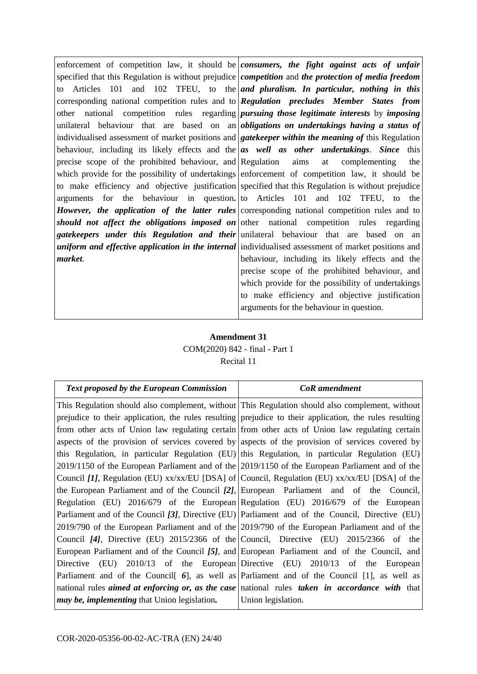enforcement of competition law, it should be *consumers, the fight against acts of unfair* specified that this Regulation is without prejudice to Articles 101 and 102 TFEU, to the corresponding national competition rules and to other national competition rules regarding unilateral behaviour that are based on an individualised assessment of market positions and behaviour, including its likely effects and the precise scope of the prohibited behaviour, and which provide for the possibility of undertakings to make efficiency and objective justification arguments for the behaviour in question*. However, the application of the latter rules should not affect the obligations imposed on gatekeepers under this Regulation and their uniform and effective application in the internal market*. *competition* and *the protection of media freedom and pluralism. In particular, nothing in this Regulation precludes Member States from pursuing those legitimate interests* by *imposing obligations on undertakings having a status of gatekeeper within the meaning of* this Regulation *as well as other undertakings*. *Since* this Regulation aims at complementing the enforcement of competition law, it should be specified that this Regulation is without prejudice to Articles 101 and 102 TFEU, to the corresponding national competition rules and to other national competition rules regarding unilateral behaviour that are based on an individualised assessment of market positions and behaviour, including its likely effects and the precise scope of the prohibited behaviour, and which provide for the possibility of undertakings to make efficiency and objective justification

### **Amendment 31** COM(2020) 842 - final - Part 1 Recital 11

arguments for the behaviour in question.

| <b>Text proposed by the European Commission</b>                                                 | <b>CoR</b> amendment                                                                                                      |
|-------------------------------------------------------------------------------------------------|---------------------------------------------------------------------------------------------------------------------------|
| This Regulation should also complement, without This Regulation should also complement, without |                                                                                                                           |
|                                                                                                 | prejudice to their application, the rules resulting prejudice to their application, the rules resulting                   |
|                                                                                                 | from other acts of Union law regulating certain from other acts of Union law regulating certain                           |
| aspects of the provision of services covered by aspects of the provision of services covered by |                                                                                                                           |
| this Regulation, in particular Regulation (EU) this Regulation, in particular Regulation (EU)   |                                                                                                                           |
|                                                                                                 | 2019/1150 of the European Parliament and of the 2019/1150 of the European Parliament and of the                           |
|                                                                                                 | Council [1], Regulation (EU) xx/xx/EU [DSA] of Council, Regulation (EU) xx/xx/EU [DSA] of the                             |
| the European Parliament and of the Council [2], European Parliament and of the Council,         |                                                                                                                           |
|                                                                                                 | Regulation (EU) 2016/679 of the European Regulation (EU) 2016/679 of the European                                         |
| Parliament and of the Council [3], Directive (EU) Parliament and of the Council, Directive (EU) |                                                                                                                           |
| 2019/790 of the European Parliament and of the 2019/790 of the European Parliament and of the   |                                                                                                                           |
|                                                                                                 | Council $[4]$ , Directive (EU) 2015/2366 of the Council, Directive (EU) 2015/2366 of the                                  |
| European Parliament and of the Council [5], and European Parliament and of the Council, and     |                                                                                                                           |
|                                                                                                 | Directive (EU) 2010/13 of the European Directive (EU) 2010/13 of the European                                             |
|                                                                                                 | Parliament and of the Council $\lceil 6 \rceil$ , as well as Parliament and of the Council $\lceil 1 \rceil$ , as well as |
|                                                                                                 | national rules <i>aimed at enforcing or, as the case</i> national rules <i>taken in accordance with</i> that              |
| <i>may be, implementing that Union legislation.</i>                                             | Union legislation.                                                                                                        |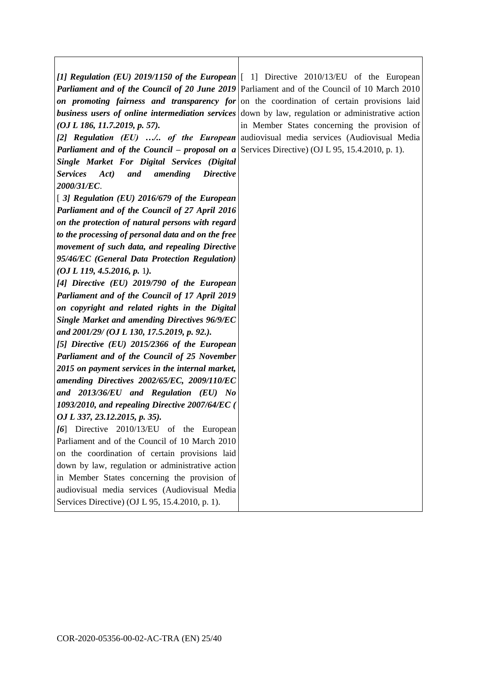|                                                                                                      | [1] Regulation (EU) 2019/1150 of the European $\begin{bmatrix} 1 \end{bmatrix}$ Directive 2010/13/EU of the European |
|------------------------------------------------------------------------------------------------------|----------------------------------------------------------------------------------------------------------------------|
|                                                                                                      | <b>Parliament and of the Council of 20 June 2019</b> Parliament and of the Council of 10 March 2010                  |
|                                                                                                      | on promoting fairness and transparency for on the coordination of certain provisions laid                            |
|                                                                                                      | <b>business users of online intermediation services</b> down by law, regulation or administrative action             |
| (OJ L 186, 11.7.2019, p. 57).                                                                        | in Member States concerning the provision of                                                                         |
|                                                                                                      | [2] Regulation (EU)  of the European audiovisual media services (Audiovisual Media                                   |
| <b>Parliament and of the Council – proposal on a</b> Services Directive) (OJ L 95, 15.4.2010, p. 1). |                                                                                                                      |
| Single Market For Digital Services (Digital                                                          |                                                                                                                      |
| <b>Services</b><br>Act)<br>and<br>amending<br><i>Directive</i>                                       |                                                                                                                      |
| 2000/31/EC.                                                                                          |                                                                                                                      |
| $[3]$ Regulation (EU) 2016/679 of the European                                                       |                                                                                                                      |
| Parliament and of the Council of 27 April 2016                                                       |                                                                                                                      |
| on the protection of natural persons with regard                                                     |                                                                                                                      |
| to the processing of personal data and on the free                                                   |                                                                                                                      |
| movement of such data, and repealing Directive                                                       |                                                                                                                      |
| 95/46/EC (General Data Protection Regulation)                                                        |                                                                                                                      |
| (OJ L 119, 4.5.2016, p. 1).                                                                          |                                                                                                                      |
| [4] Directive $(EU)$ 2019/790 of the European                                                        |                                                                                                                      |
| Parliament and of the Council of 17 April 2019                                                       |                                                                                                                      |
| on copyright and related rights in the Digital                                                       |                                                                                                                      |
| <b>Single Market and amending Directives 96/9/EC</b>                                                 |                                                                                                                      |
| and 2001/29/ (OJ L 130, 17.5.2019, p. 92.).                                                          |                                                                                                                      |
| [5] Directive $(EU)$ 2015/2366 of the European                                                       |                                                                                                                      |
| <b>Parliament and of the Council of 25 November</b>                                                  |                                                                                                                      |
| 2015 on payment services in the internal market,                                                     |                                                                                                                      |
| amending Directives 2002/65/EC, 2009/110/EC                                                          |                                                                                                                      |
| and 2013/36/EU and Regulation (EU) No                                                                |                                                                                                                      |
| 1093/2010, and repealing Directive 2007/64/EC (                                                      |                                                                                                                      |
| OJ L 337, 23.12.2015, p. 35).                                                                        |                                                                                                                      |
| [6] Directive 2010/13/EU of the European                                                             |                                                                                                                      |
| Parliament and of the Council of 10 March 2010                                                       |                                                                                                                      |
| on the coordination of certain provisions laid                                                       |                                                                                                                      |
| down by law, regulation or administrative action                                                     |                                                                                                                      |
| in Member States concerning the provision of                                                         |                                                                                                                      |
| audiovisual media services (Audiovisual Media                                                        |                                                                                                                      |
| Services Directive) (OJ L 95, 15.4.2010, p. 1).                                                      |                                                                                                                      |

 $\mathbf{I}$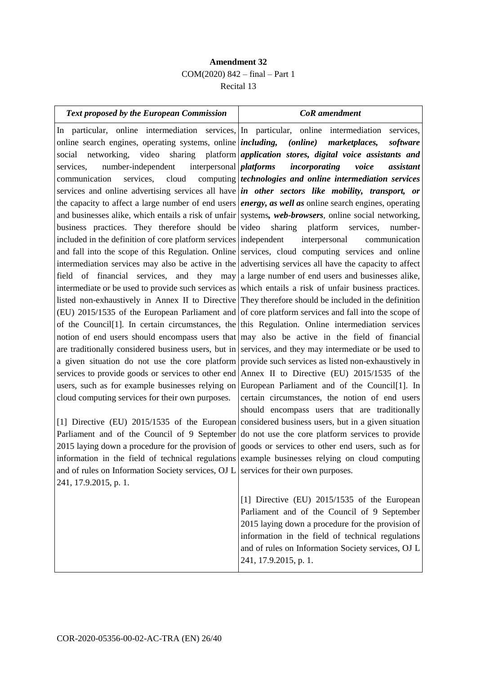### **Amendment 32** COM(2020) 842 – final – Part 1 Recital 13

#### *Text proposed by the European Commission CoR amendment*

In particular, online intermediation services, online search engines, operating systems, online  $|including,$ social networking, video sharing platform services, number-independent interpersonal communication services, cloud services and online advertising services all have the capacity to affect a large number of end users and businesses alike, which entails a risk of unfair business practices. They therefore should be included in the definition of core platform services and fall into the scope of this Regulation. Online intermediation services may also be active in the field of financial services, and they may intermediate or be used to provide such services as listed non-exhaustively in Annex II to Directive (EU) 2015/1535 of the European Parliament and of the Council[1]. In certain circumstances, the notion of end users should encompass users that are traditionally considered business users, but in a given situation do not use the core platform services to provide goods or services to other end users, such as for example businesses relying on cloud computing services for their own purposes.

[1] Directive (EU) 2015/1535 of the European Parliament and of the Council of 9 September 2015 laying down a procedure for the provision of information in the field of technical regulations and of rules on Information Society services, OJ L 241, 17.9.2015, p. 1.

In particular, online intermediation services,  $(online)$  marketplaces, software *application stores, digital voice assistants and platforms incorporating voice assistant technologies and online intermediation services in other sectors like mobility, transport, or energy, as well as* online search engines, operating systems*, web-browsers*, online social networking, video sharing platform services, numberindependent interpersonal communication services, cloud computing services and online advertising services all have the capacity to affect a large number of end users and businesses alike, which entails a risk of unfair business practices. They therefore should be included in the definition of core platform services and fall into the scope of this Regulation. Online intermediation services may also be active in the field of financial services, and they may intermediate or be used to provide such services as listed non-exhaustively in Annex II to Directive (EU) 2015/1535 of the European Parliament and of the Council[1]. In certain circumstances, the notion of end users should encompass users that are traditionally considered business users, but in a given situation do not use the core platform services to provide goods or services to other end users, such as for example businesses relying on cloud computing services for their own purposes.

> [1] Directive (EU) 2015/1535 of the European Parliament and of the Council of 9 September 2015 laying down a procedure for the provision of information in the field of technical regulations and of rules on Information Society services, OJ L 241, 17.9.2015, p. 1.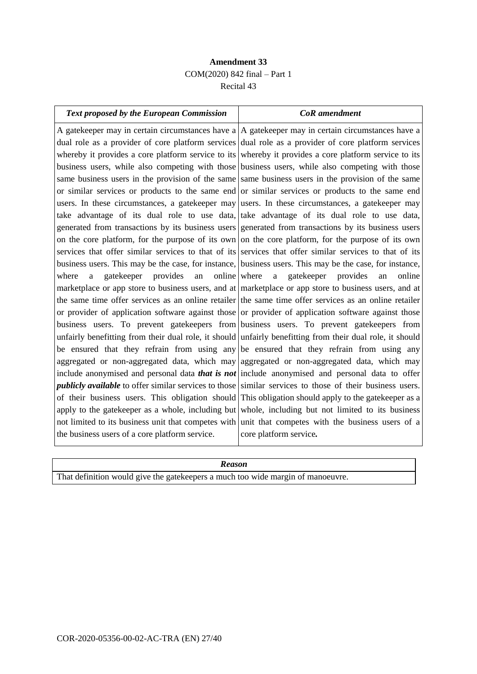### **Amendment 33** COM(2020) 842 final – Part 1 Recital 43

| <b>Text proposed by the European Commission</b>                                                                 | <b>CoR</b> amendment                                                                                      |
|-----------------------------------------------------------------------------------------------------------------|-----------------------------------------------------------------------------------------------------------|
|                                                                                                                 | A gatekeeper may in certain circumstances have $a \mid A$ gatekeeper may in certain circumstances have a  |
|                                                                                                                 | dual role as a provider of core platform services dual role as a provider of core platform services       |
|                                                                                                                 | whereby it provides a core platform service to its whereby it provides a core platform service to its     |
|                                                                                                                 | business users, while also competing with those business users, while also competing with those           |
|                                                                                                                 | same business users in the provision of the same same business users in the provision of the same         |
| or similar services or products to the same end or similar services or products to the same end                 |                                                                                                           |
| users. In these circumstances, a gatekeeper may users. In these circumstances, a gatekeeper may                 |                                                                                                           |
| take advantage of its dual role to use data, take advantage of its dual role to use data,                       |                                                                                                           |
|                                                                                                                 | generated from transactions by its business users generated from transactions by its business users       |
|                                                                                                                 | on the core platform, for the purpose of its own on the core platform, for the purpose of its own         |
|                                                                                                                 | services that offer similar services to that of its services that offer similar services to that of its   |
| business users. This may be the case, for instance, business users. This may be the case, for instance,         |                                                                                                           |
| online where<br>provides<br>where<br>gatekeeper<br>an<br>a                                                      | provides<br>online<br>$\mathbf{a}$<br>gatekeeper<br>an                                                    |
| marketplace or app store to business users, and at marketplace or app store to business users, and at           |                                                                                                           |
|                                                                                                                 | the same time offer services as an online retailer the same time offer services as an online retailer     |
| or provider of application software against those or provider of application software against those             |                                                                                                           |
|                                                                                                                 | business users. To prevent gatekeepers from business users. To prevent gatekeepers from                   |
|                                                                                                                 | unfairly benefitting from their dual role, it should unfairly benefitting from their dual role, it should |
| be ensured that they refrain from using any be ensured that they refrain from using any                         |                                                                                                           |
| aggregated or non-aggregated data, which may aggregated or non-aggregated data, which may                       |                                                                                                           |
| include anonymised and personal data <i>that is not</i> include anonymised and personal data to offer           |                                                                                                           |
| <i>publicly available</i> to offer similar services to those similar services to those of their business users. |                                                                                                           |
|                                                                                                                 | of their business users. This obligation should This obligation should apply to the gatekeeper as a       |
| apply to the gatekeeper as a whole, including but whole, including but not limited to its business              |                                                                                                           |
| not limited to its business unit that competes with unit that competes with the business users of a             |                                                                                                           |
| the business users of a core platform service.                                                                  | core platform service.                                                                                    |
|                                                                                                                 |                                                                                                           |

| <b>Reason</b>                                                                    |  |
|----------------------------------------------------------------------------------|--|
| That definition would give the gate keepers a much too wide margin of manoeuvre. |  |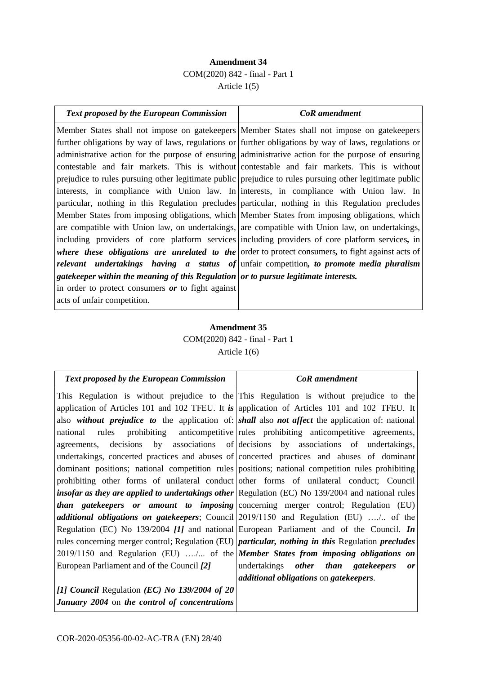### **Amendment 34** COM(2020) 842 - final - Part 1 Article 1(5)

| Text proposed by the European Commission                                                                | <b>CoR</b> amendment                                                                                  |
|---------------------------------------------------------------------------------------------------------|-------------------------------------------------------------------------------------------------------|
|                                                                                                         | Member States shall not impose on gatekeepers Member States shall not impose on gatekeepers           |
|                                                                                                         | further obligations by way of laws, regulations or further obligations by way of laws, regulations or |
|                                                                                                         | administrative action for the purpose of ensuring administrative action for the purpose of ensuring   |
|                                                                                                         | contestable and fair markets. This is without contestable and fair markets. This is without           |
| prejudice to rules pursuing other legitimate public prejudice to rules pursuing other legitimate public |                                                                                                       |
| interests, in compliance with Union law. In interests, in compliance with Union law. In                 |                                                                                                       |
|                                                                                                         | particular, nothing in this Regulation precludes particular, nothing in this Regulation precludes     |
|                                                                                                         | Member States from imposing obligations, which Member States from imposing obligations, which         |
| are compatible with Union law, on undertakings, are compatible with Union law, on undertakings,         |                                                                                                       |
| including providers of core platform services including providers of core platform services, in         |                                                                                                       |
|                                                                                                         | where these obligations are unrelated to the order to protect consumers, to fight against acts of     |
| relevant undertakings having a status of unfair competition, to promote media pluralism                 |                                                                                                       |
| gatekeeper within the meaning of this Regulation or to pursue legitimate interests.                     |                                                                                                       |
| in order to protect consumers or to fight against                                                       |                                                                                                       |
| acts of unfair competition.                                                                             |                                                                                                       |

### **Amendment 35** COM(2020) 842 - final - Part 1 Article 1(6)

| <b>Text proposed by the European Commission</b>                                                                 | <b>CoR</b> amendment                                                                                        |
|-----------------------------------------------------------------------------------------------------------------|-------------------------------------------------------------------------------------------------------------|
|                                                                                                                 | This Regulation is without prejudice to the This Regulation is without prejudice to the                     |
|                                                                                                                 | application of Articles 101 and 102 TFEU. It is application of Articles 101 and 102 TFEU. It                |
|                                                                                                                 | also without prejudice to the application of: shall also not affect the application of: national            |
| national<br>rules                                                                                               | prohibiting anticompetitive rules prohibiting anticompetitive agreements,                                   |
|                                                                                                                 | agreements, decisions by associations of decisions by associations of undertakings,                         |
|                                                                                                                 | undertakings, concerted practices and abuses of concerted practices and abuses of dominant                  |
|                                                                                                                 | dominant positions; national competition rules positions; national competition rules prohibiting            |
|                                                                                                                 | prohibiting other forms of unilateral conduct other forms of unilateral conduct; Council                    |
|                                                                                                                 | insofar as they are applied to undertakings other Regulation (EC) No $139/2004$ and national rules          |
|                                                                                                                 | <i>than gatekeepers or amount to imposing</i> concerning merger control; Regulation (EU)                    |
|                                                                                                                 | <i>additional obligations on gatekeepers</i> ; Council $\left 2019/1150\right $ and Regulation (EU)  of the |
|                                                                                                                 | Regulation (EC) No 139/2004 [1] and national European Parliament and of the Council. In                     |
| rules concerning merger control; Regulation (EU) <i>particular, nothing in this</i> Regulation <i>precludes</i> |                                                                                                             |
| 2019/1150 and Regulation (EU)  of the <i>Member States from imposing obligations on</i>                         |                                                                                                             |
| European Parliament and of the Council [2]                                                                      | undertakings other than gatekeepers<br>or                                                                   |
|                                                                                                                 | <i>additional obligations</i> on <i>gatekeepers</i> .                                                       |
| [1] Council Regulation (EC) No $139/2004$ of 20                                                                 |                                                                                                             |
| January 2004 on the control of concentrations                                                                   |                                                                                                             |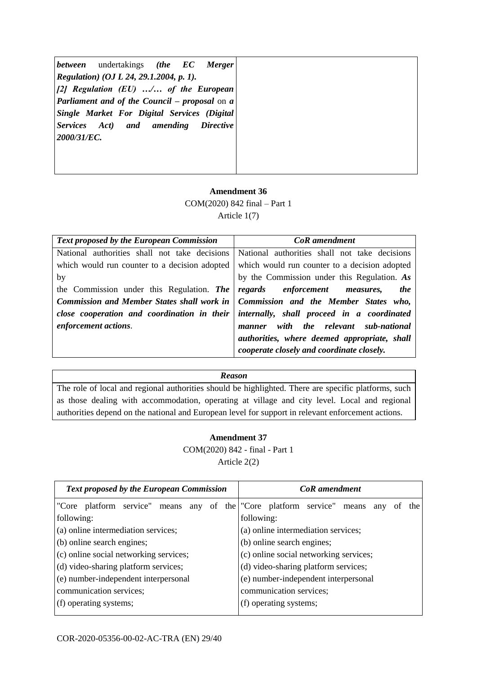### **Amendment 36**

COM(2020) 842 final – Part 1

Article 1(7)

| Text proposed by the European Commission                                               | CoR amendment                                 |
|----------------------------------------------------------------------------------------|-----------------------------------------------|
| National authorities shall not take decisions                                          | National authorities shall not take decisions |
| which would run counter to a decision adopted                                          | which would run counter to a decision adopted |
| by                                                                                     | by the Commission under this Regulation. As   |
| the Commission under this Regulation. The                                              | regards enforcement measures,<br><i>the</i>   |
| Commission and Member States shall work in   Commission and the Member States who,     |                                               |
| close cooperation and coordination in their internally, shall proceed in a coordinated |                                               |
| enforcement actions.                                                                   | manner with the relevant sub-national         |
|                                                                                        | authorities, where deemed appropriate, shall  |
|                                                                                        | cooperate closely and coordinate closely.     |

#### *Reason*

The role of local and regional authorities should be highlighted. There are specific platforms, such as those dealing with accommodation, operating at village and city level. Local and regional authorities depend on the national and European level for support in relevant enforcement actions.

#### **Amendment 37**

COM(2020) 842 - final - Part 1 Article 2(2)

| <b>Text proposed by the European Commission</b> | CoR amendment                                   |
|-------------------------------------------------|-------------------------------------------------|
| "Core platform service" means<br>of<br>any      | the "Core platform service" means<br>any<br>the |
| following:                                      | following:                                      |
| (a) online intermediation services;             | (a) online intermediation services;             |
| (b) online search engines;                      | (b) online search engines;                      |
| (c) online social networking services;          | (c) online social networking services;          |
| (d) video-sharing platform services;            | (d) video-sharing platform services;            |
| (e) number-independent interpersonal            | (e) number-independent interpersonal            |
| communication services;                         | communication services;                         |
| (f) operating systems;                          | (f) operating systems;                          |
|                                                 |                                                 |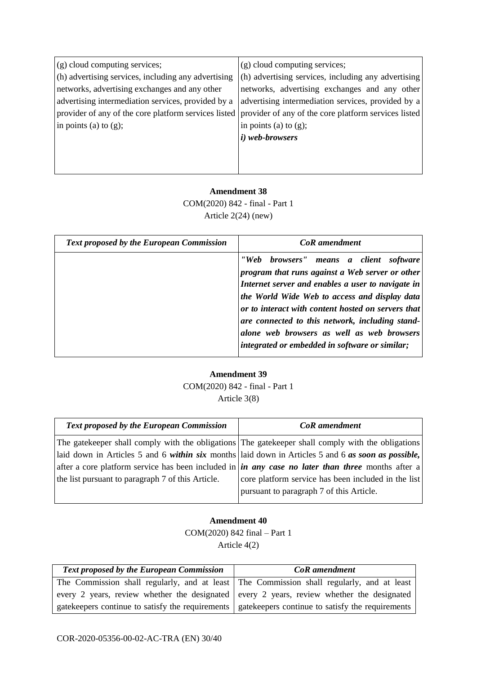| (g) cloud computing services;                       | (g) cloud computing services;                                                                             |
|-----------------------------------------------------|-----------------------------------------------------------------------------------------------------------|
| (h) advertising services, including any advertising | (h) advertising services, including any advertising                                                       |
| networks, advertising exchanges and any other       | networks, advertising exchanges and any other                                                             |
| advertising intermediation services, provided by a  | advertising intermediation services, provided by a                                                        |
|                                                     | provider of any of the core platform services listed provider of any of the core platform services listed |
| in points (a) to $(g)$ ;                            | in points (a) to $(g)$ ;                                                                                  |
|                                                     | $(i)$ web-browsers                                                                                        |
|                                                     |                                                                                                           |

### **Amendment 38** COM(2020) 842 - final - Part 1 Article 2(24) (new)

| <b>Text proposed by the European Commission</b> | CoR amendment                                                                                                                                                                                                                                         |
|-------------------------------------------------|-------------------------------------------------------------------------------------------------------------------------------------------------------------------------------------------------------------------------------------------------------|
|                                                 | "Web browsers" means a client software<br>program that runs against a Web server or other<br>Internet server and enables a user to navigate in<br>the World Wide Web to access and display data<br>or to interact with content hosted on servers that |
|                                                 | are connected to this network, including stand-<br>alone web browsers as well as web browsers<br>integrated or embedded in software or similar;                                                                                                       |

### **Amendment 39**

COM(2020) 842 - final - Part 1 Article 3(8)

| <b>Text proposed by the European Commission</b>   | <b>CoR</b> amendment                                                                                  |
|---------------------------------------------------|-------------------------------------------------------------------------------------------------------|
|                                                   | The gatekeeper shall comply with the obligations The gatekeeper shall comply with the obligations     |
|                                                   | laid down in Articles 5 and 6 within six months laid down in Articles 5 and 6 as soon as possible,    |
|                                                   | after a core platform service has been included in $\sin$ any case no later than three months after a |
| the list pursuant to paragraph 7 of this Article. | core platform service has been included in the list                                                   |
|                                                   | pursuant to paragraph 7 of this Article.                                                              |
|                                                   |                                                                                                       |

#### **Amendment 40**

COM(2020) 842 final – Part 1 Article 4(2)

| <b>Text proposed by the European Commission</b>                                                     | <b>CoR</b> amendment                                                                      |
|-----------------------------------------------------------------------------------------------------|-------------------------------------------------------------------------------------------|
|                                                                                                     | The Commission shall regularly, and at least The Commission shall regularly, and at least |
| every 2 years, review whether the designated every 2 years, review whether the designated           |                                                                                           |
| gate keepers continue to satisfy the requirements gate keepers continue to satisfy the requirements |                                                                                           |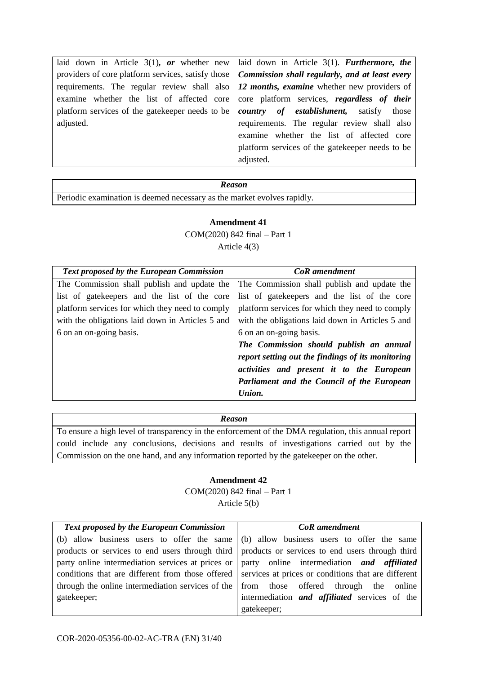| laid down in Article 3(1), or whether new laid down in Article 3(1). Furthermore, the                  |
|--------------------------------------------------------------------------------------------------------|
| providers of core platform services, satisfy those   Commission shall regularly, and at least every    |
| requirements. The regular review shall also $\vert$ 12 months, examine whether new providers of        |
| examine whether the list of affected core   core platform services, regardless of their                |
| platform services of the gate keeper needs to be<br><i>country of establishment</i> , satisfy<br>those |
| requirements. The regular review shall also                                                            |
| examine whether the list of affected core                                                              |
| platform services of the gate keeper needs to be                                                       |
| adjusted.                                                                                              |
|                                                                                                        |

Periodic examination is deemed necessary as the market evolves rapidly.

### **Amendment 41** COM(2020) 842 final – Part 1 Article 4(3)

| <b>Text proposed by the European Commission</b>  | <b>CoR</b> amendment                              |
|--------------------------------------------------|---------------------------------------------------|
| The Commission shall publish and update the      | The Commission shall publish and update the       |
| list of gate keepers and the list of the core    | list of gate keepers and the list of the core     |
| platform services for which they need to comply  | platform services for which they need to comply   |
| with the obligations laid down in Articles 5 and | with the obligations laid down in Articles 5 and  |
| 6 on an on-going basis.                          | 6 on an on-going basis.                           |
|                                                  | The Commission should publish an annual           |
|                                                  | report setting out the findings of its monitoring |
|                                                  | activities and present it to the European         |
|                                                  | Parliament and the Council of the European        |
|                                                  | Union.                                            |
|                                                  |                                                   |

#### *Reason*

To ensure a high level of transparency in the enforcement of the DMA regulation, this annual report could include any conclusions, decisions and results of investigations carried out by the Commission on the one hand, and any information reported by the gatekeeper on the other.

#### **Amendment 42**

COM(2020) 842 final – Part 1 Article 5(b)

| <b>Text proposed by the European Commission</b>                                                      | <b>CoR</b> amendment                                                                              |
|------------------------------------------------------------------------------------------------------|---------------------------------------------------------------------------------------------------|
|                                                                                                      | (b) allow business users to offer the same (b) allow business users to offer the same             |
|                                                                                                      | products or services to end users through third   products or services to end users through third |
| party online intermediation services at prices or $\vert$ party online intermediation and affiliated |                                                                                                   |
| conditions that are different from those offered                                                     | services at prices or conditions that are different                                               |
| through the online intermediation services of the                                                    | from those offered through the online                                                             |
| gatekeeper;                                                                                          | intermediation <i>and affiliated</i> services of the                                              |
|                                                                                                      | gatekeeper;                                                                                       |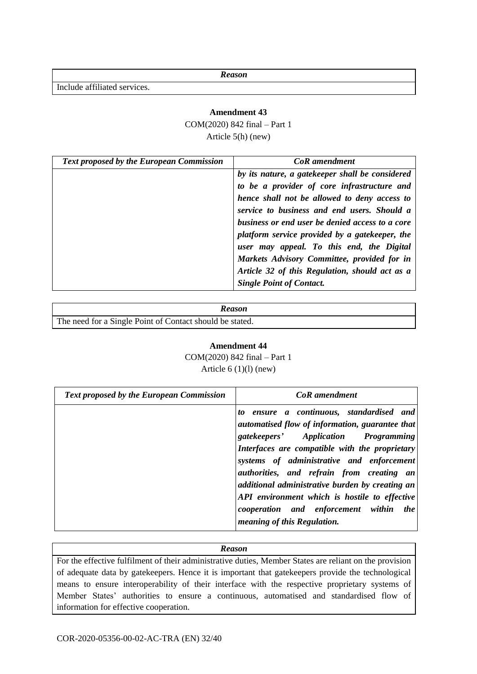Include affiliated services.

#### **Amendment 43**

COM(2020) 842 final – Part 1 Article 5(h) (new)

| <b>Text proposed by the European Commission</b> | CoR amendment                                   |
|-------------------------------------------------|-------------------------------------------------|
|                                                 | by its nature, a gatekeeper shall be considered |
|                                                 | to be a provider of core infrastructure and     |
|                                                 | hence shall not be allowed to deny access to    |
|                                                 | service to business and end users. Should a     |
|                                                 | business or end user be denied access to a core |
|                                                 | platform service provided by a gatekeeper, the  |
|                                                 | user may appeal. To this end, the Digital       |
|                                                 | Markets Advisory Committee, provided for in     |
|                                                 | Article 32 of this Regulation, should act as a  |
|                                                 | <b>Single Point of Contact.</b>                 |

| Reason                                                   |
|----------------------------------------------------------|
| The need for a Single Point of Contact should be stated. |

### **Amendment 44**

COM(2020) 842 final – Part 1 Article  $6(1)(l)$  (new)

| <b>Text proposed by the European Commission</b> | <b>CoR</b> amendment                                                                                                                                                                                                                                                                                                                                                                                                                                         |
|-------------------------------------------------|--------------------------------------------------------------------------------------------------------------------------------------------------------------------------------------------------------------------------------------------------------------------------------------------------------------------------------------------------------------------------------------------------------------------------------------------------------------|
|                                                 | to ensure a continuous, standardised and<br>automatised flow of information, guarantee that<br>gatekeepers' Application Programming<br>Interfaces are compatible with the proprietary<br>systems of administrative and enforcement<br>authorities, and refrain from creating an<br>additional administrative burden by creating an<br>API environment which is hostile to effective<br>cooperation and enforcement within the<br>meaning of this Regulation. |

#### *Reason*

For the effective fulfilment of their administrative duties, Member States are reliant on the provision of adequate data by gatekeepers. Hence it is important that gatekeepers provide the technological means to ensure interoperability of their interface with the respective proprietary systems of Member States' authorities to ensure a continuous, automatised and standardised flow of information for effective cooperation.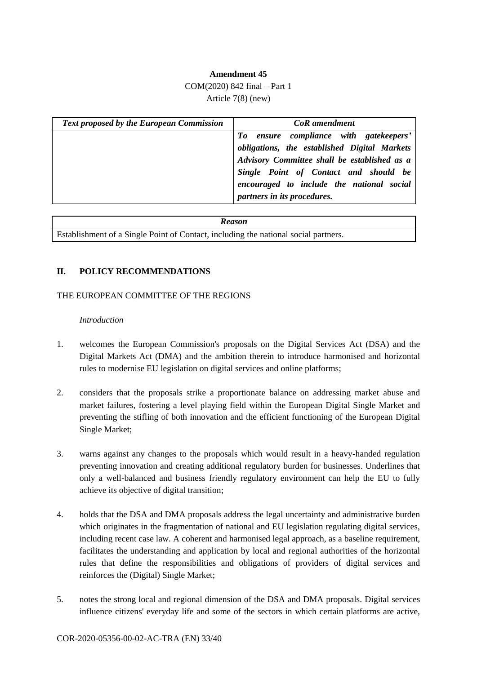#### **Amendment 45**

#### COM(2020) 842 final – Part 1

Article 7(8) (new)

| <b>Text proposed by the European Commission</b> | <b>CoR</b> amendment                                                                                                                                                                                                         |
|-------------------------------------------------|------------------------------------------------------------------------------------------------------------------------------------------------------------------------------------------------------------------------------|
|                                                 | To ensure compliance with gatekeepers'<br>obligations, the established Digital Markets<br>Advisory Committee shall be established as a<br>Single Point of Contact and should be<br>encouraged to include the national social |
|                                                 | partners in its procedures.                                                                                                                                                                                                  |

| <b>Reason</b>                                                                       |
|-------------------------------------------------------------------------------------|
| Establishment of a Single Point of Contact, including the national social partners. |

#### **II. POLICY RECOMMENDATIONS**

#### THE EUROPEAN COMMITTEE OF THE REGIONS

#### *Introduction*

- 1. welcomes the European Commission's proposals on the Digital Services Act (DSA) and the Digital Markets Act (DMA) and the ambition therein to introduce harmonised and horizontal rules to modernise EU legislation on digital services and online platforms;
- 2. considers that the proposals strike a proportionate balance on addressing market abuse and market failures, fostering a level playing field within the European Digital Single Market and preventing the stifling of both innovation and the efficient functioning of the European Digital Single Market;
- 3. warns against any changes to the proposals which would result in a heavy-handed regulation preventing innovation and creating additional regulatory burden for businesses. Underlines that only a well-balanced and business friendly regulatory environment can help the EU to fully achieve its objective of digital transition;
- 4. holds that the DSA and DMA proposals address the legal uncertainty and administrative burden which originates in the fragmentation of national and EU legislation regulating digital services, including recent case law. A coherent and harmonised legal approach, as a baseline requirement, facilitates the understanding and application by local and regional authorities of the horizontal rules that define the responsibilities and obligations of providers of digital services and reinforces the (Digital) Single Market;
- 5. notes the strong local and regional dimension of the DSA and DMA proposals. Digital services influence citizens' everyday life and some of the sectors in which certain platforms are active,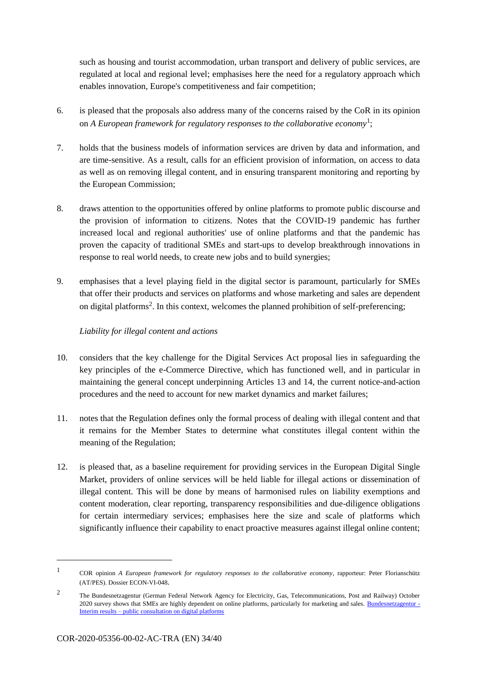such as housing and tourist accommodation, urban transport and delivery of public services, are regulated at local and regional level; emphasises here the need for a regulatory approach which enables innovation, Europe's competitiveness and fair competition;

- 6. is pleased that the proposals also address many of the concerns raised by the CoR in its opinion on *A European framework for regulatory responses to the collaborative economy*<sup>1</sup> ;
- 7. holds that the business models of information services are driven by data and information, and are time-sensitive. As a result, calls for an efficient provision of information, on access to data as well as on removing illegal content, and in ensuring transparent monitoring and reporting by the European Commission;
- 8. draws attention to the opportunities offered by online platforms to promote public discourse and the provision of information to citizens. Notes that the COVID-19 pandemic has further increased local and regional authorities' use of online platforms and that the pandemic has proven the capacity of traditional SMEs and start-ups to develop breakthrough innovations in response to real world needs, to create new jobs and to build synergies;
- 9. emphasises that a level playing field in the digital sector is paramount, particularly for SMEs that offer their products and services on platforms and whose marketing and sales are dependent on digital platforms<sup>2</sup>. In this context, welcomes the planned prohibition of self-preferencing;

### *Liability for illegal content and actions*

- 10. considers that the key challenge for the Digital Services Act proposal lies in safeguarding the key principles of the e-Commerce Directive, which has functioned well, and in particular in maintaining the general concept underpinning Articles 13 and 14, the current notice-and-action procedures and the need to account for new market dynamics and market failures;
- 11. notes that the Regulation defines only the formal process of dealing with illegal content and that it remains for the Member States to determine what constitutes illegal content within the meaning of the Regulation;
- 12. is pleased that, as a baseline requirement for providing services in the European Digital Single Market, providers of online services will be held liable for illegal actions or dissemination of illegal content. This will be done by means of harmonised rules on liability exemptions and content moderation, clear reporting, transparency responsibilities and due-diligence obligations for certain intermediary services; emphasises here the size and scale of platforms which significantly influence their capability to enact proactive measures against illegal online content;

1

<sup>1</sup> COR opinion *A European framework for regulatory responses to the collaborative economy*, rapporteur: Peter Florianschütz (AT/PES). Dossier ECON-VI-048.

<sup>2</sup> The Bundesnetzagentur (German Federal Network Agency for Electricity, Gas, Telecommunications, Post and Railway) October 2020 survey shows that SMEs are highly dependent on online platforms, particularly for marketing and sales. Bundesnetzagentur -Interim results – public consultation on digital platforms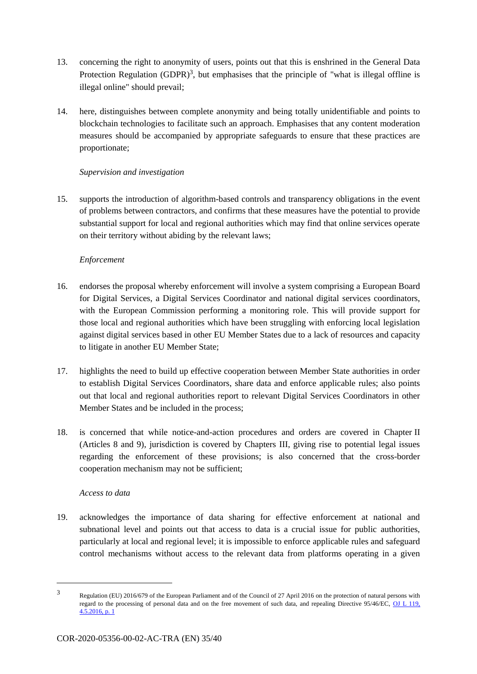- 13. concerning the right to anonymity of users, points out that this is enshrined in the General Data Protection Regulation (GDPR)<sup>3</sup>, but emphasises that the principle of "what is illegal offline is illegal online" should prevail;
- 14. here, distinguishes between complete anonymity and being totally unidentifiable and points to blockchain technologies to facilitate such an approach. Emphasises that any content moderation measures should be accompanied by appropriate safeguards to ensure that these practices are proportionate;

### *Supervision and investigation*

15. supports the introduction of algorithm-based controls and transparency obligations in the event of problems between contractors, and confirms that these measures have the potential to provide substantial support for local and regional authorities which may find that online services operate on their territory without abiding by the relevant laws;

### *Enforcement*

- 16. endorses the proposal whereby enforcement will involve a system comprising a European Board for Digital Services, a Digital Services Coordinator and national digital services coordinators, with the European Commission performing a monitoring role. This will provide support for those local and regional authorities which have been struggling with enforcing local legislation against digital services based in other EU Member States due to a lack of resources and capacity to litigate in another EU Member State;
- 17. highlights the need to build up effective cooperation between Member State authorities in order to establish Digital Services Coordinators, share data and enforce applicable rules; also points out that local and regional authorities report to relevant Digital Services Coordinators in other Member States and be included in the process;
- 18. is concerned that while notice-and-action procedures and orders are covered in Chapter II (Articles 8 and 9), jurisdiction is covered by Chapters III, giving rise to potential legal issues regarding the enforcement of these provisions; is also concerned that the cross-border cooperation mechanism may not be sufficient;

#### *Access to data*

-

19. acknowledges the importance of data sharing for effective enforcement at national and subnational level and points out that access to data is a crucial issue for public authorities, particularly at local and regional level; it is impossible to enforce applicable rules and safeguard control mechanisms without access to the relevant data from platforms operating in a given

<sup>3</sup> Regulation (EU) 2016/679 of the European Parliament and of the Council of 27 April 2016 on the protection of natural persons with regard to the processing of personal data and on the free movement of such data, and repealing Directive 95/46/EC, OJ L 119,  $4.5.2016$ , p. 1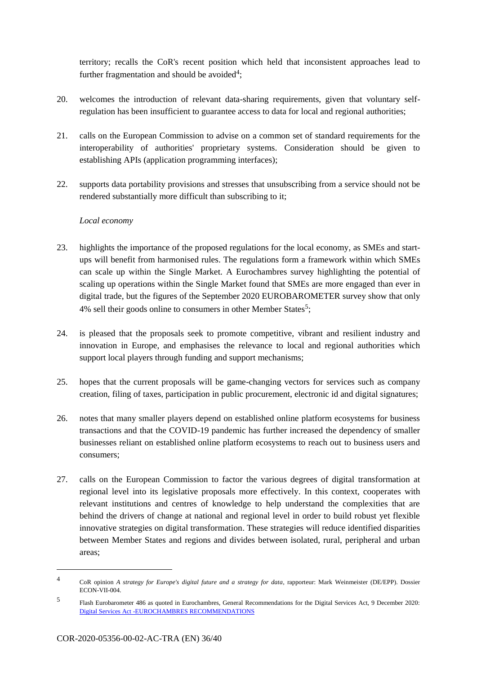territory; recalls the CoR's recent position which held that inconsistent approaches lead to further fragmentation and should be avoided<sup>4</sup>;

- 20. welcomes the introduction of relevant data-sharing requirements, given that voluntary selfregulation has been insufficient to guarantee access to data for local and regional authorities;
- 21. calls on the European Commission to advise on a common set of standard requirements for the interoperability of authorities' proprietary systems. Consideration should be given to establishing APIs (application programming interfaces);
- 22. supports data portability provisions and stresses that unsubscribing from a service should not be rendered substantially more difficult than subscribing to it;

#### *Local economy*

- 23. highlights the importance of the proposed regulations for the local economy, as SMEs and startups will benefit from harmonised rules. The regulations form a framework within which SMEs can scale up within the Single Market. A Eurochambres survey highlighting the potential of scaling up operations within the Single Market found that SMEs are more engaged than ever in digital trade, but the figures of the September 2020 EUROBAROMETER survey show that only 4% sell their goods online to consumers in other Member States<sup>5</sup>;
- 24. is pleased that the proposals seek to promote competitive, vibrant and resilient industry and innovation in Europe, and emphasises the relevance to local and regional authorities which support local players through funding and support mechanisms;
- 25. hopes that the current proposals will be game-changing vectors for services such as company creation, filing of taxes, participation in public procurement, electronic id and digital signatures;
- 26. notes that many smaller players depend on established online platform ecosystems for business transactions and that the COVID-19 pandemic has further increased the dependency of smaller businesses reliant on established online platform ecosystems to reach out to business users and consumers;
- 27. calls on the European Commission to factor the various degrees of digital transformation at regional level into its legislative proposals more effectively. In this context, cooperates with relevant institutions and centres of knowledge to help understand the complexities that are behind the drivers of change at national and regional level in order to build robust yet flexible innovative strategies on digital transformation. These strategies will reduce identified disparities between Member States and regions and divides between isolated, rural, peripheral and urban areas;

-

<sup>4</sup> CoR opinion *A strategy for Europe's digital future and a strategy for data,* rapporteur: Mark Weinmeister (DE/EPP). Dossier ECON-VII-004.

<sup>5</sup> Flash Eurobarometer 486 as quoted in Eurochambres, General Recommendations for the Digital Services Act, 9 December 2020: Digital Services Act -EUROCHAMBRES RECOMMENDATIONS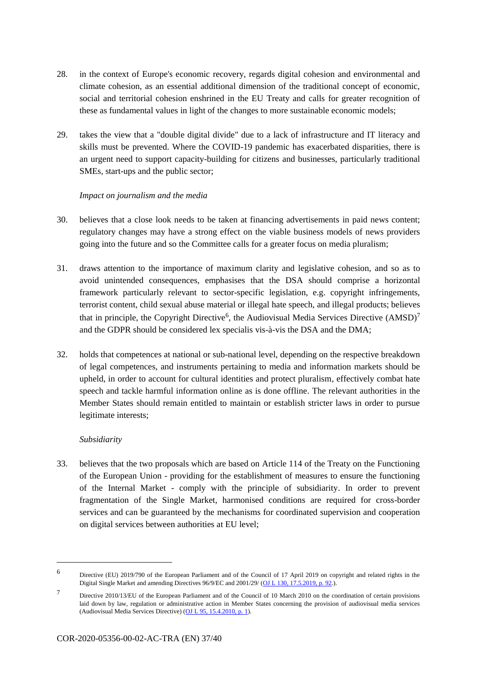- 28. in the context of Europe's economic recovery, regards digital cohesion and environmental and climate cohesion, as an essential additional dimension of the traditional concept of economic, social and territorial cohesion enshrined in the EU Treaty and calls for greater recognition of these as fundamental values in light of the changes to more sustainable economic models;
- 29. takes the view that a "double digital divide" due to a lack of infrastructure and IT literacy and skills must be prevented. Where the COVID-19 pandemic has exacerbated disparities, there is an urgent need to support capacity-building for citizens and businesses, particularly traditional SMEs, start-ups and the public sector;

#### *Impact on journalism and the media*

- 30. believes that a close look needs to be taken at financing advertisements in paid news content; regulatory changes may have a strong effect on the viable business models of news providers going into the future and so the Committee calls for a greater focus on media pluralism;
- 31. draws attention to the importance of maximum clarity and legislative cohesion, and so as to avoid unintended consequences, emphasises that the DSA should comprise a horizontal framework particularly relevant to sector-specific legislation, e.g. copyright infringements, terrorist content, child sexual abuse material or illegal hate speech, and illegal products; believes that in principle, the Copyright Directive<sup>6</sup>, the Audiovisual Media Services Directive  $(AMSD)^7$ and the GDPR should be considered lex specialis vis-à-vis the DSA and the DMA;
- 32. holds that competences at national or sub-national level, depending on the respective breakdown of legal competences, and instruments pertaining to media and information markets should be upheld, in order to account for cultural identities and protect pluralism, effectively combat hate speech and tackle harmful information online as is done offline. The relevant authorities in the Member States should remain entitled to maintain or establish stricter laws in order to pursue legitimate interests;

#### *Subsidiarity*

1

33. believes that the two proposals which are based on Article 114 of the Treaty on the Functioning of the European Union - providing for the establishment of measures to ensure the functioning of the Internal Market - comply with the principle of subsidiarity. In order to prevent fragmentation of the Single Market, harmonised conditions are required for cross-border services and can be guaranteed by the mechanisms for coordinated supervision and cooperation on digital services between authorities at EU level;

<sup>6</sup> Directive (EU) 2019/790 of the European Parliament and of the Council of 17 April 2019 on copyright and related rights in the Digital Single Market and amending Directives 96/9/EC and 2001/29/ (OJ L 130, 17.5.2019, p. 92.).

<sup>7</sup> Directive 2010/13/EU of the European Parliament and of the Council of 10 March 2010 on the coordination of certain provisions laid down by law, regulation or administrative action in Member States concerning the provision of audiovisual media services (Audiovisual Media Services Directive) (OJ L 95, 15.4.2010, p. 1).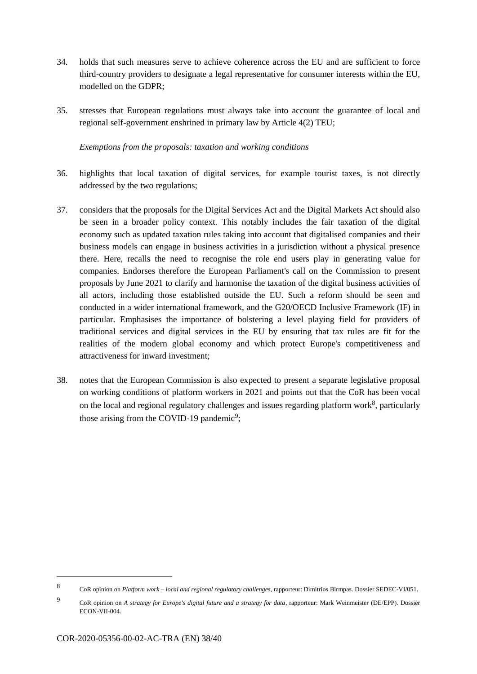- 34. holds that such measures serve to achieve coherence across the EU and are sufficient to force third-country providers to designate a legal representative for consumer interests within the EU, modelled on the GDPR;
- 35. stresses that European regulations must always take into account the guarantee of local and regional self-government enshrined in primary law by Article 4(2) TEU;

#### *Exemptions from the proposals: taxation and working conditions*

- 36. highlights that local taxation of digital services, for example tourist taxes, is not directly addressed by the two regulations;
- 37. considers that the proposals for the Digital Services Act and the Digital Markets Act should also be seen in a broader policy context. This notably includes the fair taxation of the digital economy such as updated taxation rules taking into account that digitalised companies and their business models can engage in business activities in a jurisdiction without a physical presence there. Here, recalls the need to recognise the role end users play in generating value for companies. Endorses therefore the European Parliament's call on the Commission to present proposals by June 2021 to clarify and harmonise the taxation of the digital business activities of all actors, including those established outside the EU. Such a reform should be seen and conducted in a wider international framework, and the G20/OECD Inclusive Framework (IF) in particular. Emphasises the importance of bolstering a level playing field for providers of traditional services and digital services in the EU by ensuring that tax rules are fit for the realities of the modern global economy and which protect Europe's competitiveness and attractiveness for inward investment;
- 38. notes that the European Commission is also expected to present a separate legislative proposal on working conditions of platform workers in 2021 and points out that the CoR has been vocal on the local and regional regulatory challenges and issues regarding platform work $8$ , particularly those arising from the COVID-19 pandemic<sup>9</sup>;

1

<sup>8</sup> CoR opinion on *Platform work – local and regional regulatory challenges,* rapporteur: Dimitrios Birmpas. Dossier SEDEC-VI/051.

<sup>9</sup> CoR opinion on *A strategy for Europe's digital future and a strategy for data,* rapporteur: Mark Weinmeister (DE/EPP). Dossier ECON-VII-004.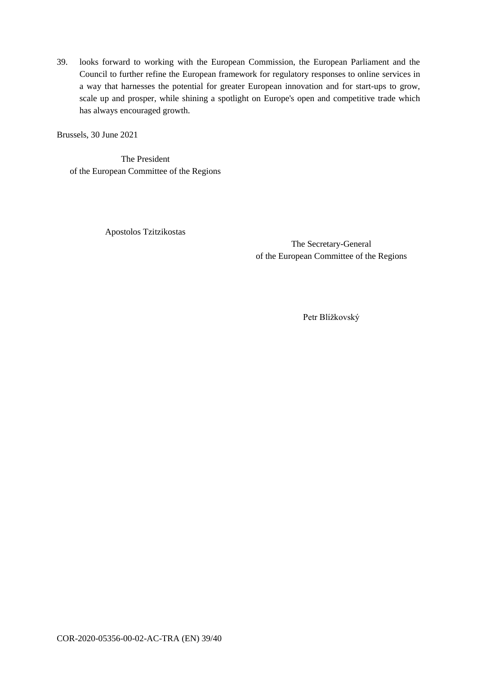39. looks forward to working with the European Commission, the European Parliament and the Council to further refine the European framework for regulatory responses to online services in a way that harnesses the potential for greater European innovation and for start-ups to grow, scale up and prosper, while shining a spotlight on Europe's open and competitive trade which has always encouraged growth.

Brussels, 30 June 2021

The President of the European Committee of the Regions

Apostolos Tzitzikostas

The Secretary-General of the European Committee of the Regions

Petr Blížkovský